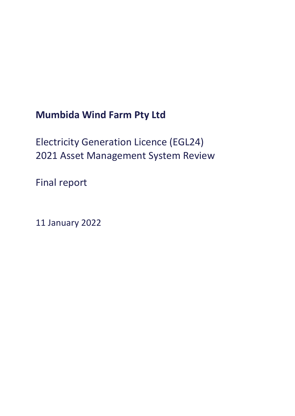# **Mumbida Wind Farm Pty Ltd**

Electricity Generation Licence (EGL24) 2021 Asset Management System Review

Final report

11 January 2022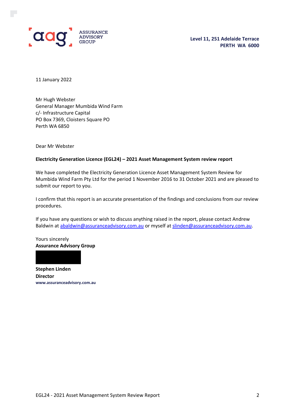

11 January 2022

Mr Hugh Webster General Manager Mumbida Wind Farm c/- Infrastructure Capital PO Box 7369, Cloisters Square PO Perth WA 6850

Dear Mr Webster

#### **Electricity Generation Licence (EGL24) – 2021 Asset Management System review report**

We have completed the Electricity Generation Licence Asset Management System Review for Mumbida Wind Farm Pty Ltd for the period 1 November 2016 to 31 October 2021 and are pleased to submit our report to you.

I confirm that this report is an accurate presentation of the findings and conclusions from our review procedures.

If you have any questions or wish to discuss anything raised in the report, please contact Andrew Baldwin at [abaldwin@assuranceadvisory.com.au](mailto:abaldwin@assuranceadvisory.com.au) or myself at [slinden@assuranceadvisory.com.au.](mailto:slinden@assuranceadvisory.com.au)

Yours sincerely **Assurance Advisory Group**

**Stephen Linden Director www.assuranceadvisory.com.au**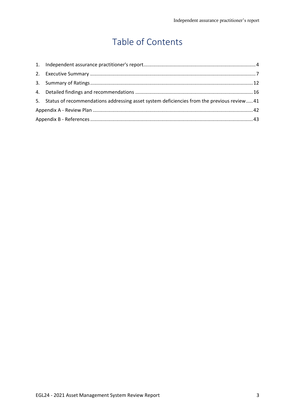# Table of Contents

| 5. Status of recommendations addressing asset system deficiencies from the previous review 41 |  |  |  |
|-----------------------------------------------------------------------------------------------|--|--|--|
|                                                                                               |  |  |  |
|                                                                                               |  |  |  |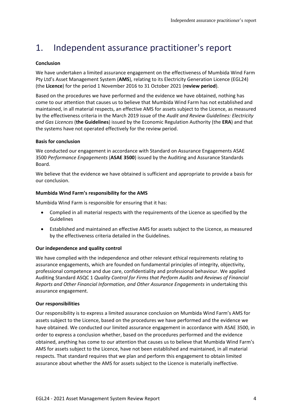## <span id="page-3-0"></span>1. Independent assurance practitioner's report

#### **Conclusion**

We have undertaken a limited assurance engagement on the effectiveness of Mumbida Wind Farm Pty Ltd's Asset Management System (**AMS**), relating to its Electricity Generation Licence (EGL24) (the **Licence**) for the period 1 November 2016 to 31 October 2021 (**review period**).

Based on the procedures we have performed and the evidence we have obtained, nothing has come to our attention that causes us to believe that Mumbida Wind Farm has not established and maintained, in all material respects, an effective AMS for assets subject to the Licence, as measured by the effectiveness criteria in the March 2019 issue of the *Audit and Review Guidelines: Electricity and Gas Licences* (**the Guidelines**) issued by the Economic Regulation Authority (the **ERA**) and that the systems have not operated effectively for the review period.

#### **Basis for conclusion**

We conducted our engagement in accordance with Standard on Assurance Engagements ASAE 3500 *Performance Engagements* (**ASAE 3500**) issued by the Auditing and Assurance Standards Board.

We believe that the evidence we have obtained is sufficient and appropriate to provide a basis for our conclusion.

#### **Mumbida Wind Farm's responsibility for the AMS**

Mumbida Wind Farm is responsible for ensuring that it has:

- Complied in all material respects with the requirements of the Licence as specified by the Guidelines
- Established and maintained an effective AMS for assets subject to the Licence, as measured by the effectiveness criteria detailed in the Guidelines.

#### **Our independence and quality control**

We have complied with the independence and other relevant ethical requirements relating to assurance engagements, which are founded on fundamental principles of integrity, objectivity, professional competence and due care, confidentiality and professional behaviour. We applied Auditing Standard ASQC 1 *Quality Control for Firms that Perform Audits and Reviews of Financial Reports and Other Financial Information, and Other Assurance Engagements* in undertaking this assurance engagement.

#### **Our responsibilities**

Our responsibility is to express a limited assurance conclusion on Mumbida Wind Farm's AMS for assets subject to the Licence, based on the procedures we have performed and the evidence we have obtained. We conducted our limited assurance engagement in accordance with ASAE 3500, in order to express a conclusion whether, based on the procedures performed and the evidence obtained, anything has come to our attention that causes us to believe that Mumbida Wind Farm's AMS for assets subject to the Licence, have not been established and maintained, in all material respects. That standard requires that we plan and perform this engagement to obtain limited assurance about whether the AMS for assets subject to the Licence is materially ineffective.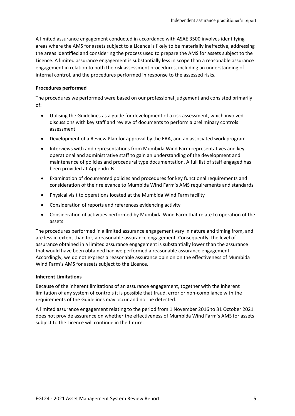A limited assurance engagement conducted in accordance with ASAE 3500 involves identifying areas where the AMS for assets subject to a Licence is likely to be materially ineffective, addressing the areas identified and considering the process used to prepare the AMS for assets subject to the Licence. A limited assurance engagement is substantially less in scope than a reasonable assurance engagement in relation to both the risk assessment procedures, including an understanding of internal control, and the procedures performed in response to the assessed risks.

#### **Procedures performed**

The procedures we performed were based on our professional judgement and consisted primarily of:

- Utilising the Guidelines as a guide for development of a risk assessment, which involved discussions with key staff and review of documents to perform a preliminary controls assessment
- Development of a Review Plan for approval by the ERA, and an associated work program
- Interviews with and representations from Mumbida Wind Farm representatives and key operational and administrative staff to gain an understanding of the development and maintenance of policies and procedural type documentation. A full list of staff engaged has been provided at Appendix B
- Examination of documented policies and procedures for key functional requirements and consideration of their relevance to Mumbida Wind Farm's AMS requirements and standards
- Physical visit to operations located at the Mumbida Wind Farm facility
- Consideration of reports and references evidencing activity
- Consideration of activities performed by Mumbida Wind Farm that relate to operation of the assets.

The procedures performed in a limited assurance engagement vary in nature and timing from, and are less in extent than for, a reasonable assurance engagement. Consequently, the level of assurance obtained in a limited assurance engagement is substantially lower than the assurance that would have been obtained had we performed a reasonable assurance engagement. Accordingly, we do not express a reasonable assurance opinion on the effectiveness of Mumbida Wind Farm's AMS for assets subject to the Licence.

#### **Inherent Limitations**

Because of the inherent limitations of an assurance engagement, together with the inherent limitation of any system of controls it is possible that fraud, error or non-compliance with the requirements of the Guidelines may occur and not be detected.

A limited assurance engagement relating to the period from 1 November 2016 to 31 October 2021 does not provide assurance on whether the effectiveness of Mumbida Wind Farm's AMS for assets subject to the Licence will continue in the future.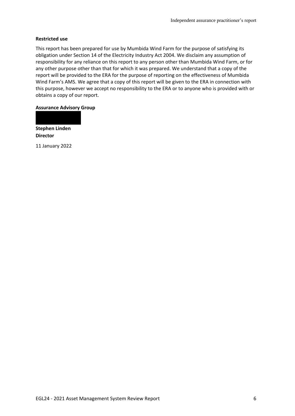#### **Restricted use**

This report has been prepared for use by Mumbida Wind Farm for the purpose of satisfying its obligation under Section 14 of the Electricity Industry Act 2004. We disclaim any assumption of responsibility for any reliance on this report to any person other than Mumbida Wind Farm, or for any other purpose other than that for which it was prepared. We understand that a copy of the report will be provided to the ERA for the purpose of reporting on the effectiveness of Mumbida Wind Farm's AMS. We agree that a copy of this report will be given to the ERA in connection with this purpose, however we accept no responsibility to the ERA or to anyone who is provided with or obtains a copy of our report.

#### **Assurance Advisory Group**

**Stephen Linden Director**

11 January 2022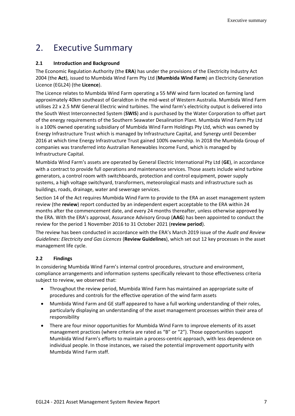## <span id="page-6-0"></span>2. Executive Summary

#### **2.1 Introduction and Background**

The Economic Regulation Authority (the **ERA**) has under the provisions of the Electricity Industry Act 2004 (the **Act**), issued to Mumbida Wind Farm Pty Ltd (**Mumbida Wind Farm**) an Electricity Generation Licence (EGL24) (the **Licence**).

The Licence relates to Mumbida Wind Farm operating a 55 MW wind farm located on farming land approximately 40km southeast of Geraldton in the mid-west of Western Australia. Mumbida Wind Farm utilises 22 x 2.5 MW General Electric wind turbines. The wind farm's electricity output is delivered into the South West Interconnected System (**SWIS**) and is purchased by the Water Corporation to offset part of the energy requirements of the Southern Seawater Desalination Plant. Mumbida Wind Farm Pty Ltd is a 100% owned operating subsidiary of Mumbida Wind Farm Holdings Pty Ltd, which was owned by Energy Infrastructure Trust which is managed by Infrastructure Capital, and Synergy until December 2016 at which time Energy Infrastructure Trust gained 100% ownership. In 2018 the Mumbida Group of companies was transferred into Australian Renewables Income Fund, which is managed by Infrastructure Capital.

Mumbida Wind Farm's assets are operated by General Electric International Pty Ltd (**GE**), in accordance with a contract to provide full operations and maintenance services. Those assets include wind turbine generators, a control room with switchboards, protection and control equipment, power supply systems, a high voltage switchyard, transformers, meteorological masts and infrastructure such as buildings, roads, drainage, water and sewerage services.

Section 14 of the Act requires Mumbida Wind Farm to provide to the ERA an asset management system review (the **review**) report conducted by an independent expert acceptable to the ERA within 24 months after the commencement date, and every 24 months thereafter, unless otherwise approved by the ERA. With the ERA's approval, Assurance Advisory Group (**AAG**) has been appointed to conduct the review for the period 1 November 2016 to 31 October 2021 (**review period**).

The review has been conducted in accordance with the ERA's March 2019 issue of the *Audit and Review Guidelines: Electricity and Gas Licences* (**Review Guidelines**), which set out 12 key processes in the asset management life cycle.

## **2.2 Findings**

In considering Mumbida Wind Farm's internal control procedures, structure and environment, compliance arrangements and information systems specifically relevant to those effectiveness criteria subject to review, we observed that:

- Throughout the review period, Mumbida Wind Farm has maintained an appropriate suite of procedures and controls for the effective operation of the wind farm assets
- Mumbida Wind Farm and GE staff appeared to have a full working understanding of their roles, particularly displaying an understanding of the asset management processes within their area of responsibility
- There are four minor opportunities for Mumbida Wind Farm to improve elements of its asset management practices (where criteria are rated as "B" or "2"). Those opportunities support Mumbida Wind Farm's efforts to maintain a process-centric approach, with less dependence on individual people. In those instances, we raised the potential improvement opportunity with Mumbida Wind Farm staff.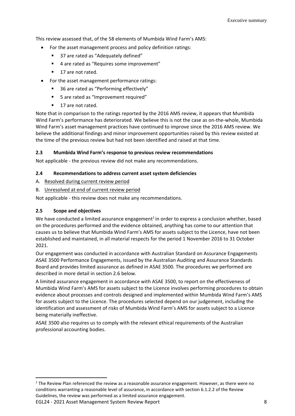This review assessed that, of the 58 elements of Mumbida Wind Farm's AMS:

- For the asset management process and policy definition ratings:
	- 37 are rated as "Adequately defined"
	- 4 are rated as "Requires some improvement"
	- 17 are not rated.
- For the asset management performance ratings:
	- 36 are rated as "Performing effectively"
	- 5 are rated as "Improvement required"
	- 17 are not rated.

Note that in comparison to the ratings reported by the 2016 AMS review, it appears that Mumbida Wind Farm's performance has deteriorated. We believe this is not the case as on-the-whole, Mumbida Wind Farm's asset management practices have continued to improve since the 2016 AMS review. We believe the additional findings and minor improvement opportunities raised by this review existed at the time of the previous review but had not been identified and raised at that time.

## **2.3 Mumbida Wind Farm's response to previous review recommendations**

Not applicable - the previous review did not make any recommendations.

#### **2.4 Recommendations to address current asset system deficiencies**

#### A. Resolved during current review period

B. Unresolved at end of current review period

Not applicable - this review does not make any recommendations.

## **2.5 Scope and objectives**

We have conducted a limited assurance engagement<sup>1</sup> in order to express a conclusion whether, based on the procedures performed and the evidence obtained, anything has come to our attention that causes us to believe that Mumbida Wind Farm's AMS for assets subject to the Licence, have not been established and maintained, in all material respects for the period 1 November 2016 to 31 October 2021.

Our engagement was conducted in accordance with Australian Standard on Assurance Engagements ASAE 3500 Performance Engagements, issued by the Australian Auditing and Assurance Standards Board and provides limited assurance as defined in ASAE 3500. The procedures we performed are described in more detail in section 2.6 below.

A limited assurance engagement in accordance with ASAE 3500, to report on the effectiveness of Mumbida Wind Farm's AMS for assets subject to the Licence involves performing procedures to obtain evidence about processes and controls designed and implemented within Mumbida Wind Farm's AMS for assets subject to the Licence. The procedures selected depend on our judgement, including the identification and assessment of risks of Mumbida Wind Farm's AMS for assets subject to a Licence being materially ineffective.

ASAE 3500 also requires us to comply with the relevant ethical requirements of the Australian professional accounting bodies.

<sup>&</sup>lt;sup>1</sup> The Review Plan referenced the review as a reasonable assurance engagement. However, as there were no conditions warranting a reasonable level of assurance, in accordance with section 6.1.2.2 of the Review Guidelines, the review was performed as a limited assurance engagement.

EGL24 - 2021 Asset Management System Review Report 8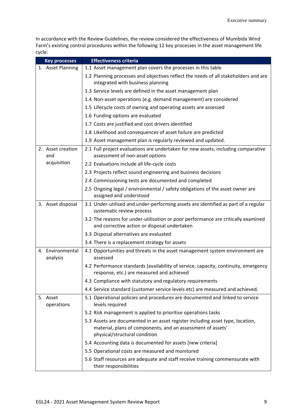In accordance with the Review Guidelines, the review considered the effectiveness of Mumbida Wind Farm's existing control procedures within the following 12 key processes in the asset management life cycle:

| <b>Key processes</b>                                                              | <b>Effectiveness criteria</b>                                                                                                                                                  |
|-----------------------------------------------------------------------------------|--------------------------------------------------------------------------------------------------------------------------------------------------------------------------------|
| 1. Asset Planning<br>1.1 Asset management plan covers the processes in this table |                                                                                                                                                                                |
|                                                                                   | 1.2 Planning processes and objectives reflect the needs of all stakeholders and are                                                                                            |
|                                                                                   | integrated with business planning                                                                                                                                              |
|                                                                                   | 1.3 Service levels are defined in the asset management plan                                                                                                                    |
|                                                                                   | 1.4 Non-asset operations (e.g. demand management) are considered                                                                                                               |
|                                                                                   | 1.5 Lifecycle costs of owning and operating assets are assessed                                                                                                                |
|                                                                                   | 1.6 Funding options are evaluated                                                                                                                                              |
|                                                                                   | 1.7 Costs are justified and cost drivers identified                                                                                                                            |
|                                                                                   | 1.8 Likelihood and consequences of asset failure are predicted                                                                                                                 |
|                                                                                   | 1.9 Asset management plan is regularly reviewed and updated.                                                                                                                   |
| 2. Asset creation<br>and                                                          | 2.1 Full project evaluations are undertaken for new assets, including comparative<br>assessment of non-asset options                                                           |
| acquisition                                                                       | 2.2 Evaluations include all life-cycle costs                                                                                                                                   |
|                                                                                   | 2.3 Projects reflect sound engineering and business decisions                                                                                                                  |
|                                                                                   | 2.4 Commissioning tests are documented and completed                                                                                                                           |
|                                                                                   | 2.5 Ongoing legal / environmental / safety obligations of the asset owner are<br>assigned and understood                                                                       |
| 3. Asset disposal                                                                 | 3.1 Under-utilised and under-performing assets are identified as part of a regular<br>systematic review process                                                                |
|                                                                                   | 3.2 The reasons for under-utilisation or poor performance are critically examined<br>and corrective action or disposal undertaken                                              |
|                                                                                   | 3.3 Disposal alternatives are evaluated                                                                                                                                        |
|                                                                                   | 3.4 There is a replacement strategy for assets                                                                                                                                 |
| 4. Environmental<br>analysis                                                      | 4.1 Opportunities and threats in the asset management system environment are<br>assessed                                                                                       |
|                                                                                   | 4.2 Performance standards (availability of service, capacity, continuity, emergency<br>response, etc.) are measured and achieved                                               |
|                                                                                   | 4.3 Compliance with statutory and regulatory requirements                                                                                                                      |
|                                                                                   | 4.4 Service standard (customer service levels etc) are measured and achieved.                                                                                                  |
| 5. Asset<br>operations                                                            | 5.1 Operational policies and procedures are documented and linked to service<br>levels required                                                                                |
|                                                                                   | 5.2 Risk management is applied to prioritise operations tasks                                                                                                                  |
|                                                                                   | 5.3 Assets are documented in an asset register including asset type, location,<br>material, plans of components, and an assessment of assets'<br>physical/structural condition |
|                                                                                   | 5.4 Accounting data is documented for assets [new criteria]                                                                                                                    |
|                                                                                   | 5.5 Operational costs are measured and monitored                                                                                                                               |
|                                                                                   | 5.6 Staff resources are adequate and staff receive training commensurate with<br>their responsibilities                                                                        |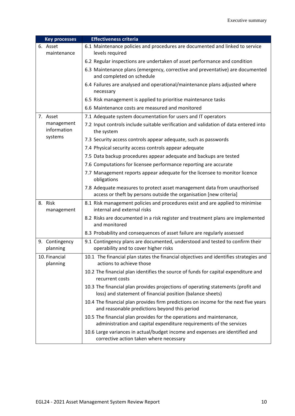| <b>Key processes</b>       | <b>Effectiveness criteria</b>                                                                                                                  |
|----------------------------|------------------------------------------------------------------------------------------------------------------------------------------------|
| 6. Asset<br>maintenance    | 6.1 Maintenance policies and procedures are documented and linked to service<br>levels required                                                |
|                            | 6.2 Regular inspections are undertaken of asset performance and condition                                                                      |
|                            | 6.3 Maintenance plans (emergency, corrective and preventative) are documented<br>and completed on schedule                                     |
|                            | 6.4 Failures are analysed and operational/maintenance plans adjusted where<br>necessary                                                        |
|                            | 6.5 Risk management is applied to prioritise maintenance tasks                                                                                 |
|                            | 6.6 Maintenance costs are measured and monitored                                                                                               |
| 7. Asset                   | 7.1 Adequate system documentation for users and IT operators                                                                                   |
| management<br>information  | 7.2 Input controls include suitable verification and validation of data entered into<br>the system                                             |
| systems                    | 7.3 Security access controls appear adequate, such as passwords                                                                                |
|                            | 7.4 Physical security access controls appear adequate                                                                                          |
|                            | 7.5 Data backup procedures appear adequate and backups are tested                                                                              |
|                            | 7.6 Computations for licensee performance reporting are accurate                                                                               |
|                            | 7.7 Management reports appear adequate for the licensee to monitor licence<br>obligations                                                      |
|                            | 7.8 Adequate measures to protect asset management data from unauthorised<br>access or theft by persons outside the organisation [new criteria] |
| 8. Risk<br>management      | 8.1 Risk management policies and procedures exist and are applied to minimise<br>internal and external risks                                   |
|                            | 8.2 Risks are documented in a risk register and treatment plans are implemented<br>and monitored                                               |
|                            | 8.3 Probability and consequences of asset failure are regularly assessed                                                                       |
| 9. Contingency<br>planning | 9.1 Contingency plans are documented, understood and tested to confirm their<br>operability and to cover higher risks                          |
| 10. Financial<br>planning  | 10.1 The financial plan states the financial objectives and identifies strategies and<br>actions to achieve those                              |
|                            | 10.2 The financial plan identifies the source of funds for capital expenditure and<br>recurrent costs                                          |
|                            | 10.3 The financial plan provides projections of operating statements (profit and<br>loss) and statement of financial position (balance sheets) |
|                            | 10.4 The financial plan provides firm predictions on income for the next five years<br>and reasonable predictions beyond this period           |
|                            | 10.5 The financial plan provides for the operations and maintenance,<br>administration and capital expenditure requirements of the services    |
|                            | 10.6 Large variances in actual/budget income and expenses are identified and<br>corrective action taken where necessary                        |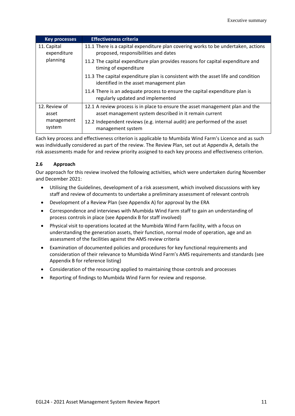| <b>Key processes</b>       | <b>Effectiveness criteria</b>                                                                                                |
|----------------------------|------------------------------------------------------------------------------------------------------------------------------|
| 11. Capital<br>expenditure | 11.1 There is a capital expenditure plan covering works to be undertaken, actions<br>proposed, responsibilities and dates    |
| planning                   | 11.2 The capital expenditure plan provides reasons for capital expenditure and<br>timing of expenditure                      |
|                            | 11.3 The capital expenditure plan is consistent with the asset life and condition<br>identified in the asset management plan |
|                            | 11.4 There is an adequate process to ensure the capital expenditure plan is<br>regularly updated and implemented             |
| 12. Review of              | 12.1 A review process is in place to ensure the asset management plan and the                                                |
| asset                      | asset management system described in it remain current                                                                       |
| management<br>system       | 12.2 Independent reviews (e.g. internal audit) are performed of the asset<br>management system                               |

Each key process and effectiveness criterion is applicable to Mumbida Wind Farm's Licence and as such was individually considered as part of the review. The Review Plan, set out at Appendix A, details the risk assessments made for and review priority assigned to each key process and effectiveness criterion.

## **2.6 Approach**

Our approach for this review involved the following activities, which were undertaken during November and December 2021:

- Utilising the Guidelines, development of a risk assessment, which involved discussions with key staff and review of documents to undertake a preliminary assessment of relevant controls
- Development of a Review Plan (see Appendix A) for approval by the ERA
- Correspondence and interviews with Mumbida Wind Farm staff to gain an understanding of process controls in place (see Appendix B for staff involved)
- Physical visit to operations located at the Mumbida Wind Farm facility, with a focus on understanding the generation assets, their function, normal mode of operation, age and an assessment of the facilities against the AMS review criteria
- Examination of documented policies and procedures for key functional requirements and consideration of their relevance to Mumbida Wind Farm's AMS requirements and standards (see Appendix B for reference listing)
- Consideration of the resourcing applied to maintaining those controls and processes
- Reporting of findings to Mumbida Wind Farm for review and response.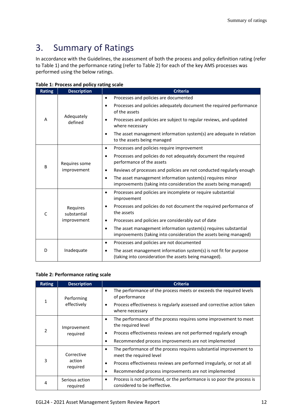## <span id="page-11-0"></span>3. Summary of Ratings

In accordance with the Guidelines, the assessment of both the process and policy definition rating (refer to Table 1) and the performance rating (refer to Table 2) for each of the key AMS processes was performed using the below ratings.

| <b>Rating</b> | <b>Description</b>           | <b>Criteria</b>                                                                                                                                   |  |  |
|---------------|------------------------------|---------------------------------------------------------------------------------------------------------------------------------------------------|--|--|
|               |                              | Processes and policies are documented<br>$\bullet$                                                                                                |  |  |
|               |                              | Processes and policies adequately document the required performance<br>$\bullet$<br>of the assets                                                 |  |  |
| A             | Adequately<br>defined        | Processes and policies are subject to regular reviews, and updated<br>where necessary                                                             |  |  |
|               |                              | The asset management information system(s) are adequate in relation<br>$\bullet$<br>to the assets being managed                                   |  |  |
|               |                              | Processes and policies require improvement<br>$\bullet$                                                                                           |  |  |
|               | Requires some<br>improvement | Processes and policies do not adequately document the required<br>$\bullet$<br>performance of the assets                                          |  |  |
| B             |                              | Reviews of processes and policies are not conducted regularly enough<br>$\bullet$                                                                 |  |  |
|               |                              | The asset management information system(s) requires minor<br>$\bullet$<br>improvements (taking into consideration the assets being managed)       |  |  |
|               |                              | Processes and policies are incomplete or require substantial<br>$\bullet$<br>improvement                                                          |  |  |
| $\mathsf{C}$  | Requires<br>substantial      | Processes and policies do not document the required performance of<br>$\bullet$<br>the assets                                                     |  |  |
|               | improvement                  | Processes and policies are considerably out of date<br>$\bullet$                                                                                  |  |  |
|               |                              | The asset management information system(s) requires substantial<br>$\bullet$<br>improvements (taking into consideration the assets being managed) |  |  |
|               |                              | Processes and policies are not documented<br>$\bullet$                                                                                            |  |  |
| D             | Inadequate                   | The asset management information system(s) is not fit for purpose<br>$\bullet$<br>(taking into consideration the assets being managed).           |  |  |

|  | Table 1: Process and policy rating scale |  |  |  |  |  |
|--|------------------------------------------|--|--|--|--|--|
|--|------------------------------------------|--|--|--|--|--|

#### **Table 2: Performance rating scale**

| <b>Rating</b>  | <b>Description</b>         | <b>Criteria</b>                                                                                                      |  |  |
|----------------|----------------------------|----------------------------------------------------------------------------------------------------------------------|--|--|
|                | Performing                 | The performance of the process meets or exceeds the required levels<br>$\bullet$<br>of performance                   |  |  |
| 1              | effectively                | Process effectiveness is regularly assessed and corrective action taken<br>٠<br>where necessary                      |  |  |
|                | Improvement<br>required    | The performance of the process requires some improvement to meet<br>٠<br>the required level                          |  |  |
| $\mathfrak{p}$ |                            | Process effectiveness reviews are not performed regularly enough<br>٠                                                |  |  |
|                |                            | Recommended process improvements are not implemented<br>٠                                                            |  |  |
|                | Corrective                 | The performance of the process requires substantial improvement to<br>$\bullet$<br>meet the required level           |  |  |
| 3              | action<br>reguired         | Process effectiveness reviews are performed irregularly, or not at all<br>٠                                          |  |  |
|                |                            | Recommended process improvements are not implemented<br>٠                                                            |  |  |
| 4              | Serious action<br>required | Process is not performed, or the performance is so poor the process is<br>$\bullet$<br>considered to be ineffective. |  |  |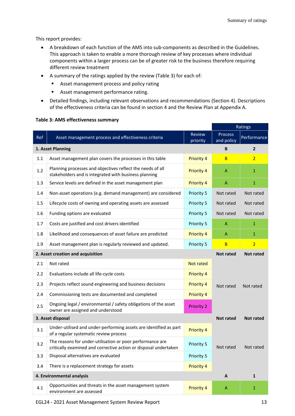This report provides:

- A breakdown of each function of the AMS into sub-components as described in the Guidelines. This approach is taken to enable a more thorough review of key processes where individual components within a larger process can be of greater risk to the business therefore requiring different review treatment
- A summary of the ratings applied by the review (Table 3) for each of:
	- Asset management process and policy rating
	- Asset management performance rating.
- Detailed findings, including relevant observations and recommendations (Section 4). Descriptions of the effectiveness criteria can be found in section 4 and the Review Plan at Appendix A.

|     |                                                                                                                               |                           | Ratings               |                  |
|-----|-------------------------------------------------------------------------------------------------------------------------------|---------------------------|-----------------------|------------------|
| Ref | Asset management process and effectiveness criteria                                                                           | <b>Review</b><br>priority | Process<br>and policy | Performance      |
|     | 1. Asset Planning                                                                                                             |                           | B                     | $\overline{2}$   |
| 1.1 | Asset management plan covers the processes in this table                                                                      | <b>Priority 4</b>         | B                     | $\overline{2}$   |
| 1.2 | Planning processes and objectives reflect the needs of all<br>stakeholders and is integrated with business planning           | <b>Priority 4</b>         | $\overline{A}$        | 1                |
| 1.3 | Service levels are defined in the asset management plan                                                                       | Priority 4                | A                     | $\mathbf{1}$     |
| 1.4 | Non-asset operations (e.g. demand management) are considered                                                                  | Priority 5                | Not rated             | Not rated        |
| 1.5 | Lifecycle costs of owning and operating assets are assessed                                                                   | Priority 5                | Not rated             | Not rated        |
| 1.6 | Funding options are evaluated                                                                                                 | Priority 5                | Not rated             | Not rated        |
| 1.7 | Costs are justified and cost drivers identified                                                                               | Priority 5                | A                     | $\mathbf{1}$     |
| 1.8 | Likelihood and consequences of asset failure are predicted                                                                    | Priority 4                | A                     | $\mathbf{1}$     |
| 1.9 | Asset management plan is regularly reviewed and updated.                                                                      | Priority 5                | B                     | $\overline{2}$   |
|     | 2. Asset creation and acquisition                                                                                             |                           | <b>Not rated</b>      | <b>Not rated</b> |
| 2.1 | Not rated                                                                                                                     | <b>Not rated</b>          |                       |                  |
| 2.2 | Evaluations include all life-cycle costs                                                                                      | <b>Priority 4</b>         |                       |                  |
| 2.3 | Projects reflect sound engineering and business decisions                                                                     | <b>Priority 4</b>         | Not rated             | Not rated        |
| 2.4 | Commissioning tests are documented and completed                                                                              | <b>Priority 4</b>         |                       |                  |
| 2.5 | Ongoing legal / environmental / safety obligations of the asset<br>owner are assigned and understood                          | <b>Priority 2</b>         |                       |                  |
|     | 3. Asset disposal                                                                                                             |                           | <b>Not rated</b>      | <b>Not rated</b> |
| 3.1 | Under-utilised and under-performing assets are identified as part<br>of a regular systematic review process                   | Priority 4                |                       |                  |
| 3.2 | The reasons for under-utilisation or poor performance are<br>critically examined and corrective action or disposal undertaken | <b>Priority 5</b>         | Not rated             | Not rated        |
| 3.3 | Disposal alternatives are evaluated                                                                                           | Priority 5                |                       |                  |
| 3.4 | There is a replacement strategy for assets                                                                                    | Priority 4                |                       |                  |
|     | 4. Environmental analysis                                                                                                     |                           | A                     | $\mathbf{1}$     |
| 4.1 | Opportunities and threats in the asset management system<br>environment are assessed                                          | Priority 4                | A                     | $\mathbf{1}$     |

#### **Table 3: AMS effectiveness summary**

EGL24 - 2021 Asset Management System Review Report 13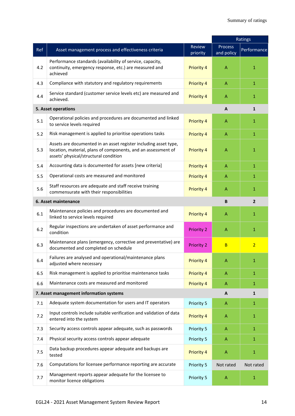|     |                                                                                                                                                                            |                    | Ratings                   |                |
|-----|----------------------------------------------------------------------------------------------------------------------------------------------------------------------------|--------------------|---------------------------|----------------|
| Ref | Asset management process and effectiveness criteria                                                                                                                        | Review<br>priority | Process<br>and policy     | Performance    |
| 4.2 | Performance standards (availability of service, capacity,<br>continuity, emergency response, etc.) are measured and<br>achieved                                            | Priority 4         | $\overline{A}$            | $\mathbf{1}$   |
| 4.3 | Compliance with statutory and regulatory requirements                                                                                                                      | <b>Priority 4</b>  | $\mathsf{A}$              | $\mathbf{1}$   |
| 4.4 | Service standard (customer service levels etc) are measured and<br>achieved.                                                                                               | <b>Priority 4</b>  | A                         | $\mathbf{1}$   |
|     | 5. Asset operations                                                                                                                                                        |                    | A                         | $\mathbf{1}$   |
| 5.1 | Operational policies and procedures are documented and linked<br>to service levels required                                                                                | Priority 4         | $\mathsf{A}$              | 1              |
| 5.2 | Risk management is applied to prioritise operations tasks                                                                                                                  | <b>Priority 4</b>  | $\mathsf{A}$              | $\mathbf{1}$   |
| 5.3 | Assets are documented in an asset register including asset type,<br>location, material, plans of components, and an assessment of<br>assets' physical/structural condition | <b>Priority 4</b>  | A                         | $\mathbf{1}$   |
| 5.4 | Accounting data is documented for assets [new criteria]                                                                                                                    | <b>Priority 4</b>  | $\mathsf{A}$              | $\mathbf{1}$   |
| 5.5 | Operational costs are measured and monitored                                                                                                                               | <b>Priority 4</b>  | A                         | $\mathbf{1}$   |
| 5.6 | Staff resources are adequate and staff receive training<br>commensurate with their responsibilities                                                                        | <b>Priority 4</b>  | A                         | $\mathbf{1}$   |
|     | 6. Asset maintenance                                                                                                                                                       |                    | B                         | $\overline{2}$ |
| 6.1 | Maintenance policies and procedures are documented and<br>linked to service levels required                                                                                | <b>Priority 4</b>  | A                         | 1              |
| 6.2 | Regular inspections are undertaken of asset performance and<br>condition                                                                                                   | <b>Priority 2</b>  | $\mathsf{A}$              | $\mathbf{1}$   |
| 6.3 | Maintenance plans (emergency, corrective and preventative) are<br>documented and completed on schedule                                                                     | <b>Priority 2</b>  | B                         | $\overline{2}$ |
| 6.4 | Failures are analysed and operational/maintenance plans<br>adjusted where necessary                                                                                        | <b>Priority 4</b>  | A                         | 1              |
| 6.5 | Risk management is applied to prioritise maintenance tasks                                                                                                                 | Priority 4         | A                         | $\mathbf{1}$   |
| 6.6 | Maintenance costs are measured and monitored                                                                                                                               | Priority 4         | A                         | $\mathbf{1}$   |
|     | 7. Asset management information systems                                                                                                                                    |                    | A                         | $\mathbf{1}$   |
| 7.1 | Adequate system documentation for users and IT operators                                                                                                                   | Priority 5         | A                         | $\mathbf{1}$   |
| 7.2 | Input controls include suitable verification and validation of data<br>entered into the system                                                                             | <b>Priority 4</b>  | $\mathsf{A}$              | $\mathbf{1}$   |
| 7.3 | Security access controls appear adequate, such as passwords                                                                                                                | Priority 5         | $\mathsf{A}$              | $\mathbf{1}$   |
| 7.4 | Physical security access controls appear adequate                                                                                                                          | Priority 5         | $\mathsf{A}$              | $\mathbf{1}$   |
| 7.5 | Data backup procedures appear adequate and backups are<br>tested                                                                                                           | <b>Priority 4</b>  | $\mathsf{A}$              | $\mathbf{1}$   |
| 7.6 | Computations for licensee performance reporting are accurate                                                                                                               | Priority 5         | Not rated                 | Not rated      |
| 7.7 | Management reports appear adequate for the licensee to<br>monitor licence obligations                                                                                      | Priority 5         | $\boldsymbol{\mathsf{A}}$ | $\mathbf{1}$   |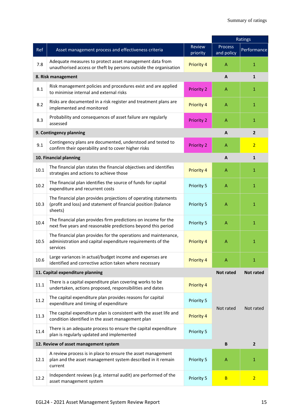|      |                                                                                                                                              |                           | Ratings               |                  |
|------|----------------------------------------------------------------------------------------------------------------------------------------------|---------------------------|-----------------------|------------------|
| Ref  | Asset management process and effectiveness criteria                                                                                          | <b>Review</b><br>priority | Process<br>and policy | Performance      |
| 7.8  | Adequate measures to protect asset management data from<br>unauthorised access or theft by persons outside the organisation                  | <b>Priority 4</b>         | A                     | $\mathbf{1}$     |
|      | 8. Risk management                                                                                                                           |                           | A                     | $\mathbf{1}$     |
| 8.1  | Risk management policies and procedures exist and are applied<br>to minimise internal and external risks                                     | <b>Priority 2</b>         | A                     | $\mathbf{1}$     |
| 8.2  | Risks are documented in a risk register and treatment plans are<br>implemented and monitored                                                 | <b>Priority 4</b>         | A                     | $\mathbf{1}$     |
| 8.3  | Probability and consequences of asset failure are regularly<br>assessed                                                                      | <b>Priority 2</b>         | A                     | $\mathbf{1}$     |
|      | 9. Contingency planning                                                                                                                      |                           | A                     | $\overline{2}$   |
| 9.1  | Contingency plans are documented, understood and tested to<br>confirm their operability and to cover higher risks                            | <b>Priority 2</b>         | A                     | $\overline{2}$   |
|      | 10. Financial planning                                                                                                                       |                           | A                     | $\mathbf{1}$     |
| 10.1 | The financial plan states the financial objectives and identifies<br>strategies and actions to achieve those                                 | <b>Priority 4</b>         | $\overline{A}$        | $\mathbf{1}$     |
| 10.2 | The financial plan identifies the source of funds for capital<br>expenditure and recurrent costs                                             | Priority 5                | A                     | $\mathbf{1}$     |
| 10.3 | The financial plan provides projections of operating statements<br>(profit and loss) and statement of financial position (balance<br>sheets) | Priority 5                | A                     | $\mathbf{1}$     |
| 10.4 | The financial plan provides firm predictions on income for the<br>next five years and reasonable predictions beyond this period              | Priority 5                | $\overline{A}$        | $\mathbf{1}$     |
| 10.5 | The financial plan provides for the operations and maintenance,<br>administration and capital expenditure requirements of the<br>services    | <b>Priority 4</b>         | A                     | $\mathbf{1}$     |
| 10.6 | Large variances in actual/budget income and expenses are<br>identified and corrective action taken where necessary                           | Priority 4                | А                     |                  |
|      | 11. Capital expenditure planning                                                                                                             |                           | <b>Not rated</b>      | <b>Not rated</b> |
| 11.1 | There is a capital expenditure plan covering works to be<br>undertaken, actions proposed, responsibilities and dates                         | <b>Priority 4</b>         |                       |                  |
| 11.2 | The capital expenditure plan provides reasons for capital<br>expenditure and timing of expenditure                                           | Priority 5                | Not rated             | Not rated        |
| 11.3 | The capital expenditure plan is consistent with the asset life and<br>condition identified in the asset management plan                      | <b>Priority 4</b>         |                       |                  |
| 11.4 | There is an adequate process to ensure the capital expenditure<br>plan is regularly updated and implemented                                  | Priority 5                |                       |                  |
|      | 12. Review of asset management system                                                                                                        |                           | B                     | $\overline{2}$   |
| 12.1 | A review process is in place to ensure the asset management<br>plan and the asset management system described in it remain<br>current        | Priority 5                | A                     | 1                |
| 12.2 | Independent reviews (e.g. internal audit) are performed of the<br>asset management system                                                    | Priority 5                | B                     | $\overline{2}$   |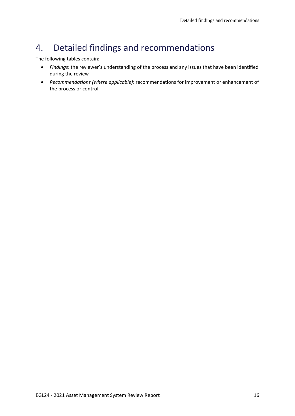## <span id="page-15-0"></span>4. Detailed findings and recommendations

The following tables contain:

- *Findings*: the reviewer's understanding of the process and any issues that have been identified during the review
- *Recommendations (where applicable)*: recommendations for improvement or enhancement of the process or control.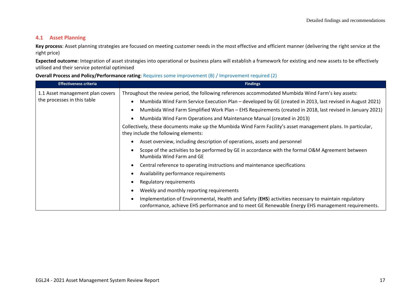#### **4.1 Asset Planning**

**Key process**: Asset planning strategies are focused on meeting customer needs in the most effective and efficient manner (delivering the right service at the right price)

**Expected outcome**: Integration of asset strategies into operational or business plans will establish a framework for existing and new assets to be effectively utilised and their service potential optimised

#### **Overall Process and Policy/Performance rating**: Requires some improvement (B) / Improvement required (2)

| <b>Effectiveness criteria</b>    | <b>Findings</b>                                                                                                                                                                                                |  |
|----------------------------------|----------------------------------------------------------------------------------------------------------------------------------------------------------------------------------------------------------------|--|
| 1.1 Asset management plan covers | Throughout the review period, the following references accommodated Mumbida Wind Farm's key assets:                                                                                                            |  |
| the processes in this table      | Mumbida Wind Farm Service Execution Plan – developed by GE (created in 2013, last revised in August 2021)<br>$\bullet$                                                                                         |  |
|                                  | Mumbida Wind Farm Simplified Work Plan – EHS Requirements (created in 2018, last revised in January 2021)<br>$\bullet$                                                                                         |  |
|                                  | Mumbida Wind Farm Operations and Maintenance Manual (created in 2013)<br>٠                                                                                                                                     |  |
|                                  | Collectively, these documents make up the Mumbida Wind Farm Facility's asset management plans. In particular,<br>they include the following elements:                                                          |  |
|                                  | Asset overview, including description of operations, assets and personnel                                                                                                                                      |  |
|                                  | Scope of the activities to be performed by GE in accordance with the formal O&M Agreement between<br>Mumbida Wind Farm and GE                                                                                  |  |
|                                  | Central reference to operating instructions and maintenance specifications                                                                                                                                     |  |
|                                  | Availability performance requirements                                                                                                                                                                          |  |
|                                  | Regulatory requirements                                                                                                                                                                                        |  |
|                                  | Weekly and monthly reporting requirements                                                                                                                                                                      |  |
|                                  | Implementation of Environmental, Health and Safety (EHS) activities necessary to maintain regulatory<br>٠<br>conformance, achieve EHS performance and to meet GE Renewable Energy EHS management requirements. |  |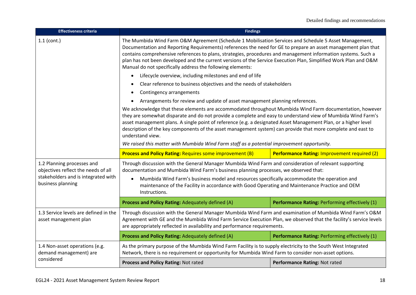| <b>Effectiveness criteria</b>                                                                                                                                                                                                                                                                                                                                                                                                                                                                                                               | <b>Findings</b>                                                                                                                                                                                                                                                                                                                                                                                                                                                                |                                                |  |  |
|---------------------------------------------------------------------------------------------------------------------------------------------------------------------------------------------------------------------------------------------------------------------------------------------------------------------------------------------------------------------------------------------------------------------------------------------------------------------------------------------------------------------------------------------|--------------------------------------------------------------------------------------------------------------------------------------------------------------------------------------------------------------------------------------------------------------------------------------------------------------------------------------------------------------------------------------------------------------------------------------------------------------------------------|------------------------------------------------|--|--|
| $1.1$ (cont.)<br>The Mumbida Wind Farm O&M Agreement (Schedule 1 Mobilisation Services and Schedule 5 Asset Management,<br>Documentation and Reporting Requirements) references the need for GE to prepare an asset management plan that<br>contains comprehensive references to plans, strategies, procedures and management information systems. Such a<br>plan has not been developed and the current versions of the Service Execution Plan, Simplified Work Plan and O&M<br>Manual do not specifically address the following elements: |                                                                                                                                                                                                                                                                                                                                                                                                                                                                                |                                                |  |  |
|                                                                                                                                                                                                                                                                                                                                                                                                                                                                                                                                             | Lifecycle overview, including milestones and end of life                                                                                                                                                                                                                                                                                                                                                                                                                       |                                                |  |  |
|                                                                                                                                                                                                                                                                                                                                                                                                                                                                                                                                             | Clear reference to business objectives and the needs of stakeholders                                                                                                                                                                                                                                                                                                                                                                                                           |                                                |  |  |
|                                                                                                                                                                                                                                                                                                                                                                                                                                                                                                                                             | Contingency arrangements                                                                                                                                                                                                                                                                                                                                                                                                                                                       |                                                |  |  |
|                                                                                                                                                                                                                                                                                                                                                                                                                                                                                                                                             | Arrangements for review and update of asset management planning references.                                                                                                                                                                                                                                                                                                                                                                                                    |                                                |  |  |
|                                                                                                                                                                                                                                                                                                                                                                                                                                                                                                                                             | We acknowledge that these elements are accommodated throughout Mumbida Wind Farm documentation, however<br>they are somewhat disparate and do not provide a complete and easy to understand view of Mumbida Wind Farm's<br>asset management plans. A single point of reference (e.g. a designated Asset Management Plan, or a higher level<br>description of the key components of the asset management system) can provide that more complete and east to<br>understand view. |                                                |  |  |
|                                                                                                                                                                                                                                                                                                                                                                                                                                                                                                                                             | We raised this matter with Mumbida Wind Farm staff as a potential improvement opportunity.                                                                                                                                                                                                                                                                                                                                                                                     |                                                |  |  |
|                                                                                                                                                                                                                                                                                                                                                                                                                                                                                                                                             | <b>Process and Policy Rating: Requires some improvement (B)</b><br>Performance Rating: Improvement required (2)                                                                                                                                                                                                                                                                                                                                                                |                                                |  |  |
| 1.2 Planning processes and<br>objectives reflect the needs of all                                                                                                                                                                                                                                                                                                                                                                                                                                                                           | Through discussion with the General Manager Mumbida Wind Farm and consideration of relevant supporting<br>documentation and Mumbida Wind Farm's business planning processes, we observed that:                                                                                                                                                                                                                                                                                 |                                                |  |  |
| stakeholders and is integrated with<br>business planning                                                                                                                                                                                                                                                                                                                                                                                                                                                                                    | Mumbida Wind Farm's business model and resources specifically accommodate the operation and<br>maintenance of the Facility in accordance with Good Operating and Maintenance Practice and OEM<br>Instructions.                                                                                                                                                                                                                                                                 |                                                |  |  |
|                                                                                                                                                                                                                                                                                                                                                                                                                                                                                                                                             | Process and Policy Rating: Adequately defined (A)                                                                                                                                                                                                                                                                                                                                                                                                                              | Performance Rating: Performing effectively (1) |  |  |
| 1.3 Service levels are defined in the<br>asset management plan                                                                                                                                                                                                                                                                                                                                                                                                                                                                              | Through discussion with the General Manager Mumbida Wind Farm and examination of Mumbida Wind Farm's O&M<br>Agreement with GE and the Mumbida Wind Farm Service Execution Plan, we observed that the facility's service levels<br>are appropriately reflected in availability and performance requirements.                                                                                                                                                                    |                                                |  |  |
|                                                                                                                                                                                                                                                                                                                                                                                                                                                                                                                                             | Process and Policy Rating: Adequately defined (A)                                                                                                                                                                                                                                                                                                                                                                                                                              | Performance Rating: Performing effectively (1) |  |  |
| 1.4 Non-asset operations (e.g.<br>demand management) are                                                                                                                                                                                                                                                                                                                                                                                                                                                                                    | As the primary purpose of the Mumbida Wind Farm Facility is to supply electricity to the South West Integrated<br>Network, there is no requirement or opportunity for Mumbida Wind Farm to consider non-asset options.                                                                                                                                                                                                                                                         |                                                |  |  |
| considered                                                                                                                                                                                                                                                                                                                                                                                                                                                                                                                                  | Process and Policy Rating: Not rated                                                                                                                                                                                                                                                                                                                                                                                                                                           | Performance Rating: Not rated                  |  |  |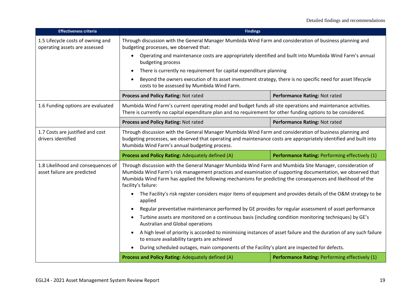| <b>Effectiveness criteria</b>                                                                                                                                                                                                                                                                                                | <b>Findings</b>                                                                                                                                                                                                                                                                                                                                                                                                                                                                                          |                                                |
|------------------------------------------------------------------------------------------------------------------------------------------------------------------------------------------------------------------------------------------------------------------------------------------------------------------------------|----------------------------------------------------------------------------------------------------------------------------------------------------------------------------------------------------------------------------------------------------------------------------------------------------------------------------------------------------------------------------------------------------------------------------------------------------------------------------------------------------------|------------------------------------------------|
| 1.5 Lifecycle costs of owning and<br>operating assets are assessed                                                                                                                                                                                                                                                           | Through discussion with the General Manager Mumbida Wind Farm and consideration of business planning and<br>budgeting processes, we observed that:                                                                                                                                                                                                                                                                                                                                                       |                                                |
|                                                                                                                                                                                                                                                                                                                              | Operating and maintenance costs are appropriately identified and built into Mumbida Wind Farm's annual<br>budgeting process                                                                                                                                                                                                                                                                                                                                                                              |                                                |
|                                                                                                                                                                                                                                                                                                                              | There is currently no requirement for capital expenditure planning<br>$\bullet$                                                                                                                                                                                                                                                                                                                                                                                                                          |                                                |
|                                                                                                                                                                                                                                                                                                                              | Beyond the owners execution of its asset investment strategy, there is no specific need for asset lifecycle<br>$\bullet$<br>costs to be assessed by Mumbida Wind Farm.                                                                                                                                                                                                                                                                                                                                   |                                                |
|                                                                                                                                                                                                                                                                                                                              | Process and Policy Rating: Not rated                                                                                                                                                                                                                                                                                                                                                                                                                                                                     | Performance Rating: Not rated                  |
| 1.6 Funding options are evaluated                                                                                                                                                                                                                                                                                            | Mumbida Wind Farm's current operating model and budget funds all site operations and maintenance activities.<br>There is currently no capital expenditure plan and no requirement for other funding options to be considered.                                                                                                                                                                                                                                                                            |                                                |
|                                                                                                                                                                                                                                                                                                                              | Process and Policy Rating: Not rated                                                                                                                                                                                                                                                                                                                                                                                                                                                                     | Performance Rating: Not rated                  |
| 1.7 Costs are justified and cost<br>drivers identified                                                                                                                                                                                                                                                                       | Through discussion with the General Manager Mumbida Wind Farm and consideration of business planning and<br>budgeting processes, we observed that operating and maintenance costs are appropriately identified and built into<br>Mumbida Wind Farm's annual budgeting process.                                                                                                                                                                                                                           |                                                |
|                                                                                                                                                                                                                                                                                                                              | Process and Policy Rating: Adequately defined (A)                                                                                                                                                                                                                                                                                                                                                                                                                                                        | Performance Rating: Performing effectively (1) |
| 1.8 Likelihood and consequences of<br>asset failure are predicted                                                                                                                                                                                                                                                            | Through discussion with the General Manager Mumbida Wind Farm and Mumbida Site Manager, consideration of<br>Mumbida Wind Farm's risk management practices and examination of supporting documentation, we observed that<br>Mumbida Wind Farm has applied the following mechanisms for predicting the consequences and likelihood of the<br>facility's failure:<br>The Facility's risk register considers major items of equipment and provides details of the O&M strategy to be<br>$\bullet$<br>applied |                                                |
|                                                                                                                                                                                                                                                                                                                              |                                                                                                                                                                                                                                                                                                                                                                                                                                                                                                          |                                                |
|                                                                                                                                                                                                                                                                                                                              | Regular preventative maintenance performed by GE provides for regular assessment of asset performance<br>$\bullet$                                                                                                                                                                                                                                                                                                                                                                                       |                                                |
| Turbine assets are monitored on a continuous basis (including condition monitoring techniques) by GE's<br>Australian and Global operations<br>A high level of priority is accorded to minimising instances of asset failure and the duration of any such failure<br>$\bullet$<br>to ensure availability targets are achieved |                                                                                                                                                                                                                                                                                                                                                                                                                                                                                                          |                                                |
|                                                                                                                                                                                                                                                                                                                              |                                                                                                                                                                                                                                                                                                                                                                                                                                                                                                          |                                                |
|                                                                                                                                                                                                                                                                                                                              | During scheduled outages, main components of the Facility's plant are inspected for defects.                                                                                                                                                                                                                                                                                                                                                                                                             |                                                |
|                                                                                                                                                                                                                                                                                                                              | Process and Policy Rating: Adequately defined (A)<br>Performance Rating: Performing effectively (1)                                                                                                                                                                                                                                                                                                                                                                                                      |                                                |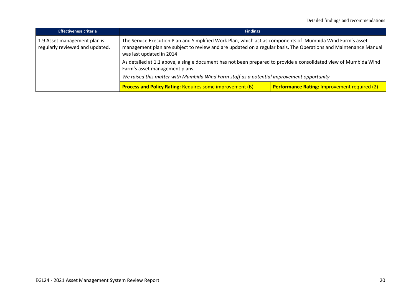| <b>Effectiveness criteria</b>                                   | <b>Findings</b>                                                                                                                                                                                                                                                                                                                                                                                                |                                                     |
|-----------------------------------------------------------------|----------------------------------------------------------------------------------------------------------------------------------------------------------------------------------------------------------------------------------------------------------------------------------------------------------------------------------------------------------------------------------------------------------------|-----------------------------------------------------|
| 1.9 Asset management plan is<br>regularly reviewed and updated. | The Service Execution Plan and Simplified Work Plan, which act as components of Mumbida Wind Farm's asset<br>management plan are subject to review and are updated on a regular basis. The Operations and Maintenance Manual<br>was last updated in 2014<br>As detailed at 1.1 above, a single document has not been prepared to provide a consolidated view of Mumbida Wind<br>Farm's asset management plans. |                                                     |
|                                                                 |                                                                                                                                                                                                                                                                                                                                                                                                                |                                                     |
|                                                                 | We raised this matter with Mumbida Wind Farm staff as a potential improvement opportunity.                                                                                                                                                                                                                                                                                                                     |                                                     |
|                                                                 | <b>Process and Policy Rating: Requires some improvement (B)</b>                                                                                                                                                                                                                                                                                                                                                | <b>Performance Rating: Improvement required (2)</b> |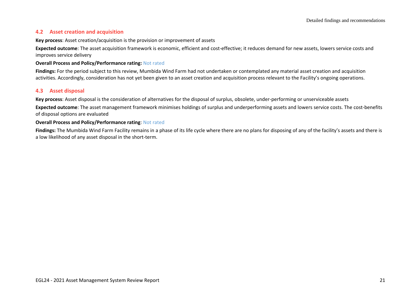#### **4.2 Asset creation and acquisition**

**Key process**: Asset creation/acquisition is the provision or improvement of assets

**Expected outcome**: The asset acquisition framework is economic, efficient and cost-effective; it reduces demand for new assets, lowers service costs and improves service delivery

#### **Overall Process and Policy/Performance rating:** Not rated

**Findings:** For the period subject to this review, Mumbida Wind Farm had not undertaken or contemplated any material asset creation and acquisition activities. Accordingly, consideration has not yet been given to an asset creation and acquisition process relevant to the Facility's ongoing operations.

#### **4.3 Asset disposal**

**Key process**: Asset disposal is the consideration of alternatives for the disposal of surplus, obsolete, under-performing or unserviceable assets

**Expected outcome**: The asset management framework minimises holdings of surplus and underperforming assets and lowers service costs. The cost-benefits of disposal options are evaluated

#### **Overall Process and Policy/Performance rating**: Not rated

**Findings:** The Mumbida Wind Farm Facility remains in a phase of its life cycle where there are no plans for disposing of any of the facility's assets and there is a low likelihood of any asset disposal in the short-term.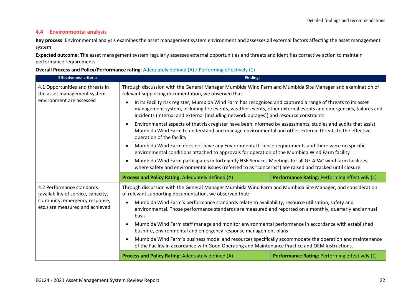## **4.4 Environmental analysis**

**Key process**: Environmental analysis examines the asset management system environment and assesses all external factors affecting the asset management system

**Expected outcome**: The asset management system regularly assesses external opportunities and threats and identifies corrective action to maintain performance requirements

#### **Overall Process and Policy/Performance rating**: Adequately defined (A) / Performing effectively (1)

| <b>Effectiveness criteria</b>                                                                       | <b>Findings</b>                                                                                                                                                                                                                                                                                                         |                                                       |
|-----------------------------------------------------------------------------------------------------|-------------------------------------------------------------------------------------------------------------------------------------------------------------------------------------------------------------------------------------------------------------------------------------------------------------------------|-------------------------------------------------------|
| 4.1 Opportunities and threats in<br>the asset management system                                     | Through discussion with the General Manager Mumbida Wind Farm and Mumbida Site Manager and examination of<br>relevant supporting documentation, we observed that:                                                                                                                                                       |                                                       |
| environment are assessed                                                                            | In its Facility risk register, Mumbida Wind Farm has recognised and captured a range of threats to its asset<br>management system, including fire events, weather events, other external events and emergencies, failures and<br>incidents (internal and external [including network outages]) and resource constraints |                                                       |
|                                                                                                     | Environmental aspects of that risk register have been informed by assessments, studies and audits that assist<br>$\bullet$<br>Mumbida Wind Farm to understand and manage environmental and other external threats to the effective<br>operation of the facility                                                         |                                                       |
|                                                                                                     | Mumbida Wind Farm does not have any Environmental Licence requirements and there were no specific<br>$\bullet$<br>environmental conditions attached to approvals for operation of the Mumbida Wind Farm facility                                                                                                        |                                                       |
|                                                                                                     | Mumbida Wind Farm participates in fortnightly HSE Services Meetings for all GE APAC wind farm facilities,<br>$\bullet$<br>where safety and environmental issues (referred to as "concerns") are raised and tracked until closure.                                                                                       |                                                       |
|                                                                                                     | Process and Policy Rating: Adequately defined (A)                                                                                                                                                                                                                                                                       | Performance Rating: Performing effectively (1)        |
| 4.2 Performance standards<br>(availability of service, capacity,<br>continuity, emergency response, | Through discussion with the General Manager Mumbida Wind Farm and Mumbida Site Manager, and consideration<br>of relevant supporting documentation, we observed that:<br>Mumbida Wind Farm's performance standards relate to availability, resource utilisation, safety and<br>$\bullet$                                 |                                                       |
| etc.) are measured and achieved                                                                     | environmental. Those performance standards are measured and reported on a monthly, quarterly and annual<br>basis                                                                                                                                                                                                        |                                                       |
|                                                                                                     | Mumbida Wind Farm staff manage and monitor environmental performance in accordance with established<br>$\bullet$<br>bushfire, environmental and emergency response management plans                                                                                                                                     |                                                       |
|                                                                                                     | Mumbida Wind Farm's business model and resources specifically accommodate the operation and maintenance<br>$\bullet$<br>of the Facility in accordance with Good Operating and Maintenance Practice and OEM Instructions.                                                                                                |                                                       |
|                                                                                                     | Process and Policy Rating: Adequately defined (A)                                                                                                                                                                                                                                                                       | <b>Performance Rating: Performing effectively (1)</b> |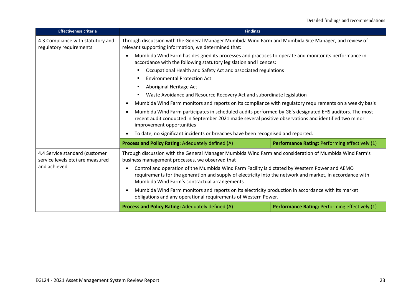| <b>Effectiveness criteria</b>                                      | <b>Findings</b>                                                                                                                                                                                                                                                                                                                                                                                                                                                                                                                                                                                                                                        |                                                |
|--------------------------------------------------------------------|--------------------------------------------------------------------------------------------------------------------------------------------------------------------------------------------------------------------------------------------------------------------------------------------------------------------------------------------------------------------------------------------------------------------------------------------------------------------------------------------------------------------------------------------------------------------------------------------------------------------------------------------------------|------------------------------------------------|
| 4.3 Compliance with statutory and<br>regulatory requirements       | Through discussion with the General Manager Mumbida Wind Farm and Mumbida Site Manager, and review of<br>relevant supporting information, we determined that:                                                                                                                                                                                                                                                                                                                                                                                                                                                                                          |                                                |
|                                                                    | Mumbida Wind Farm has designed its processes and practices to operate and monitor its performance in<br>accordance with the following statutory legislation and licences:                                                                                                                                                                                                                                                                                                                                                                                                                                                                              |                                                |
|                                                                    | Occupational Health and Safety Act and associated regulations<br><b>Environmental Protection Act</b><br>Aboriginal Heritage Act<br>Waste Avoidance and Resource Recovery Act and subordinate legislation<br>Mumbida Wind Farm monitors and reports on its compliance with regulatory requirements on a weekly basis<br>Mumbida Wind Farm participates in scheduled audits performed by GE's designated EHS auditors. The most<br>recent audit conducted in September 2021 made several positive observations and identified two minor<br>improvement opportunities<br>To date, no significant incidents or breaches have been recognised and reported. |                                                |
|                                                                    |                                                                                                                                                                                                                                                                                                                                                                                                                                                                                                                                                                                                                                                        |                                                |
|                                                                    |                                                                                                                                                                                                                                                                                                                                                                                                                                                                                                                                                                                                                                                        |                                                |
|                                                                    |                                                                                                                                                                                                                                                                                                                                                                                                                                                                                                                                                                                                                                                        |                                                |
|                                                                    |                                                                                                                                                                                                                                                                                                                                                                                                                                                                                                                                                                                                                                                        |                                                |
|                                                                    |                                                                                                                                                                                                                                                                                                                                                                                                                                                                                                                                                                                                                                                        |                                                |
|                                                                    |                                                                                                                                                                                                                                                                                                                                                                                                                                                                                                                                                                                                                                                        |                                                |
|                                                                    | Process and Policy Rating: Adequately defined (A)                                                                                                                                                                                                                                                                                                                                                                                                                                                                                                                                                                                                      | Performance Rating: Performing effectively (1) |
| 4.4 Service standard (customer<br>service levels etc) are measured | Through discussion with the General Manager Mumbida Wind Farm and consideration of Mumbida Wind Farm's<br>business management processes, we observed that                                                                                                                                                                                                                                                                                                                                                                                                                                                                                              |                                                |
| and achieved                                                       | Control and operation of the Mumbida Wind Farm Facility is dictated by Western Power and AEMO<br>requirements for the generation and supply of electricity into the network and market, in accordance with<br>Mumbida Wind Farm's contractual arrangements                                                                                                                                                                                                                                                                                                                                                                                             |                                                |
|                                                                    | Mumbida Wind Farm monitors and reports on its electricity production in accordance with its market<br>obligations and any operational requirements of Western Power.                                                                                                                                                                                                                                                                                                                                                                                                                                                                                   |                                                |
|                                                                    | Process and Policy Rating: Adequately defined (A)                                                                                                                                                                                                                                                                                                                                                                                                                                                                                                                                                                                                      | Performance Rating: Performing effectively (1) |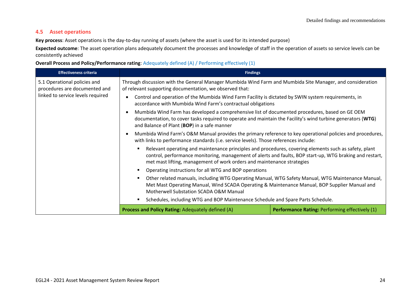## **4.5 Asset operations**

**Key process**: Asset operations is the day-to-day running of assets (where the asset is used for its intended purpose)

**Expected outcome**: The asset operation plans adequately document the processes and knowledge of staff in the operation of assets so service levels can be consistently achieved

### **Overall Process and Policy/Performance rating**: Adequately defined (A) / Performing effectively (1)

| <b>Effectiveness criteria</b>                                                                                                                                                                                                                | <b>Findings</b>                                                                                                                                                                                                                                              |                                                                                                                                                                                                                                                                                             |  |
|----------------------------------------------------------------------------------------------------------------------------------------------------------------------------------------------------------------------------------------------|--------------------------------------------------------------------------------------------------------------------------------------------------------------------------------------------------------------------------------------------------------------|---------------------------------------------------------------------------------------------------------------------------------------------------------------------------------------------------------------------------------------------------------------------------------------------|--|
| 5.1 Operational policies and<br>procedures are documented and                                                                                                                                                                                | Through discussion with the General Manager Mumbida Wind Farm and Mumbida Site Manager, and consideration<br>of relevant supporting documentation, we observed that:                                                                                         |                                                                                                                                                                                                                                                                                             |  |
| linked to service levels required                                                                                                                                                                                                            | Control and operation of the Mumbida Wind Farm Facility is dictated by SWIN system requirements, in<br>accordance with Mumbida Wind Farm's contractual obligations                                                                                           |                                                                                                                                                                                                                                                                                             |  |
|                                                                                                                                                                                                                                              | Mumbida Wind Farm has developed a comprehensive list of documented procedures, based on GE OEM<br>documentation, to cover tasks required to operate and maintain the Facility's wind turbine generators (WTG)<br>and Balance of Plant (BOP) in a safe manner |                                                                                                                                                                                                                                                                                             |  |
|                                                                                                                                                                                                                                              | Mumbida Wind Farm's O&M Manual provides the primary reference to key operational policies and procedures,<br>$\bullet$<br>with links to performance standards (i.e. service levels). Those references include:                                               |                                                                                                                                                                                                                                                                                             |  |
|                                                                                                                                                                                                                                              |                                                                                                                                                                                                                                                              | Relevant operating and maintenance principles and procedures, covering elements such as safety, plant<br>control, performance monitoring, management of alerts and faults, BOP start-up, WTG braking and restart,<br>met mast lifting, management of work orders and maintenance strategies |  |
|                                                                                                                                                                                                                                              | Operating instructions for all WTG and BOP operations                                                                                                                                                                                                        |                                                                                                                                                                                                                                                                                             |  |
| Other related manuals, including WTG Operating Manual, WTG Safety Manual, WTG Maintenance Manual,<br>Met Mast Operating Manual, Wind SCADA Operating & Maintenance Manual, BOP Supplier Manual and<br>Motherwell Substation SCADA O&M Manual |                                                                                                                                                                                                                                                              |                                                                                                                                                                                                                                                                                             |  |
|                                                                                                                                                                                                                                              | Schedules, including WTG and BOP Maintenance Schedule and Spare Parts Schedule.                                                                                                                                                                              |                                                                                                                                                                                                                                                                                             |  |
|                                                                                                                                                                                                                                              | Process and Policy Rating: Adequately defined (A)                                                                                                                                                                                                            | <b>Performance Rating: Performing effectively (1)</b>                                                                                                                                                                                                                                       |  |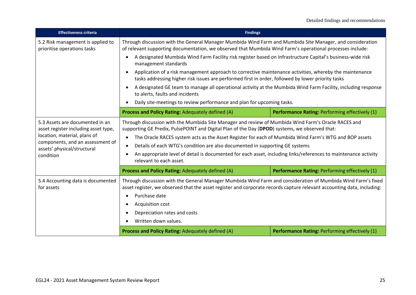| <b>Effectiveness criteria</b>                                                                                                                                                           | <b>Findings</b>                                                                                                                                                                                                                                                                                                                                                                                                                                                                                                                                                                                                                                                                                                                                             |                                                |
|-----------------------------------------------------------------------------------------------------------------------------------------------------------------------------------------|-------------------------------------------------------------------------------------------------------------------------------------------------------------------------------------------------------------------------------------------------------------------------------------------------------------------------------------------------------------------------------------------------------------------------------------------------------------------------------------------------------------------------------------------------------------------------------------------------------------------------------------------------------------------------------------------------------------------------------------------------------------|------------------------------------------------|
| 5.2 Risk management is applied to<br>prioritise operations tasks                                                                                                                        | Through discussion with the General Manager Mumbida Wind Farm and Mumbida Site Manager, and consideration<br>of relevant supporting documentation, we observed that Mumbida Wind Farm's operational processes include:<br>A designated Mumbida Wind Farm Facility risk register based on Infrastructure Capital's business-wide risk<br>$\bullet$<br>management standards<br>Application of a risk management approach to corrective maintenance activities, whereby the maintenance<br>$\bullet$<br>tasks addressing higher risk issues are performed first in order, followed by lower priority tasks<br>A designated GE team to manage all operational activity at the Mumbida Wind Farm Facility, including response<br>to alerts, faults and incidents |                                                |
|                                                                                                                                                                                         |                                                                                                                                                                                                                                                                                                                                                                                                                                                                                                                                                                                                                                                                                                                                                             |                                                |
|                                                                                                                                                                                         |                                                                                                                                                                                                                                                                                                                                                                                                                                                                                                                                                                                                                                                                                                                                                             |                                                |
|                                                                                                                                                                                         |                                                                                                                                                                                                                                                                                                                                                                                                                                                                                                                                                                                                                                                                                                                                                             |                                                |
|                                                                                                                                                                                         | Daily site-meetings to review performance and plan for upcoming tasks.<br>$\bullet$                                                                                                                                                                                                                                                                                                                                                                                                                                                                                                                                                                                                                                                                         |                                                |
|                                                                                                                                                                                         | Process and Policy Rating: Adequately defined (A)                                                                                                                                                                                                                                                                                                                                                                                                                                                                                                                                                                                                                                                                                                           | Performance Rating: Performing effectively (1) |
| 5.3 Assets are documented in an<br>asset register including asset type,<br>location, material, plans of<br>components, and an assessment of<br>assets' physical/structural<br>condition | Through discussion with the Mumbida Site Manager and review of Mumbida Wind Farm's Oracle RACES and<br>supporting GE Predix, PulsePOINT and Digital Plan of the Day (DPOD) systems, we observed that:<br>The Oracle RACES system acts as the Asset Register for each of Mumbida Wind Farm's WTG and BOP assets<br>$\bullet$<br>Details of each WTG's condition are also documented in supporting GE systems<br>$\bullet$<br>An appropriate level of detail is documented for each asset, including links/references to maintenance activity<br>$\bullet$<br>relevant to each asset.                                                                                                                                                                         |                                                |
|                                                                                                                                                                                         | Process and Policy Rating: Adequately defined (A)                                                                                                                                                                                                                                                                                                                                                                                                                                                                                                                                                                                                                                                                                                           | Performance Rating: Performing effectively (1) |
| 5.4 Accounting data is documented<br>for assets                                                                                                                                         | Through discussion with the General Manager Mumbida Wind Farm and consideration of Mumbida Wind Farm's fixed<br>asset register, we observed that the asset register and corporate records capture relevant accounting data, including:<br>Purchase date<br>$\bullet$<br>Acquisition cost<br>$\bullet$<br>Depreciation rates and costs<br>$\bullet$<br>Written down values.<br>$\bullet$                                                                                                                                                                                                                                                                                                                                                                     |                                                |
|                                                                                                                                                                                         | Process and Policy Rating: Adequately defined (A)                                                                                                                                                                                                                                                                                                                                                                                                                                                                                                                                                                                                                                                                                                           | Performance Rating: Performing effectively (1) |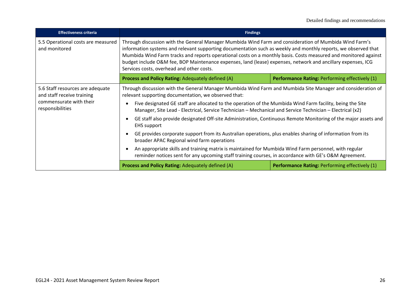| <b>Effectiveness criteria</b>                                                                                 | <b>Findings</b>                                                                                                                                                                                                                                                                                                                                                                                                                                                                                                                                                                                                                                                                                                                                                                                                                                                                                                                                                                                                            |                                                       |
|---------------------------------------------------------------------------------------------------------------|----------------------------------------------------------------------------------------------------------------------------------------------------------------------------------------------------------------------------------------------------------------------------------------------------------------------------------------------------------------------------------------------------------------------------------------------------------------------------------------------------------------------------------------------------------------------------------------------------------------------------------------------------------------------------------------------------------------------------------------------------------------------------------------------------------------------------------------------------------------------------------------------------------------------------------------------------------------------------------------------------------------------------|-------------------------------------------------------|
| 5.5 Operational costs are measured<br>and monitored                                                           | Through discussion with the General Manager Mumbida Wind Farm and consideration of Mumbida Wind Farm's<br>information systems and relevant supporting documentation such as weekly and monthly reports, we observed that<br>Mumbida Wind Farm tracks and reports operational costs on a monthly basis. Costs measured and monitored against<br>budget include O&M fee, BOP Maintenance expenses, land (lease) expenses, network and ancillary expenses, ICG<br>Services costs, overhead and other costs.                                                                                                                                                                                                                                                                                                                                                                                                                                                                                                                   |                                                       |
|                                                                                                               | Process and Policy Rating: Adequately defined (A)                                                                                                                                                                                                                                                                                                                                                                                                                                                                                                                                                                                                                                                                                                                                                                                                                                                                                                                                                                          | <b>Performance Rating: Performing effectively (1)</b> |
| 5.6 Staff resources are adequate<br>and staff receive training<br>commensurate with their<br>responsibilities | Through discussion with the General Manager Mumbida Wind Farm and Mumbida Site Manager and consideration of<br>relevant supporting documentation, we observed that:<br>Five designated GE staff are allocated to the operation of the Mumbida Wind Farm facility, being the Site<br>Manager, Site Lead - Electrical, Service Technician – Mechanical and Service Technician – Electrical (x2)<br>GE staff also provide designated Off-site Administration, Continuous Remote Monitoring of the major assets and<br><b>EHS</b> support<br>GE provides corporate support from its Australian operations, plus enables sharing of information from its<br>broader APAC Regional wind farm operations<br>An appropriate skills and training matrix is maintained for Mumbida Wind Farm personnel, with regular<br>reminder notices sent for any upcoming staff training courses, in accordance with GE's O&M Agreement.<br>Process and Policy Rating: Adequately defined (A)<br>Performance Rating: Performing effectively (1) |                                                       |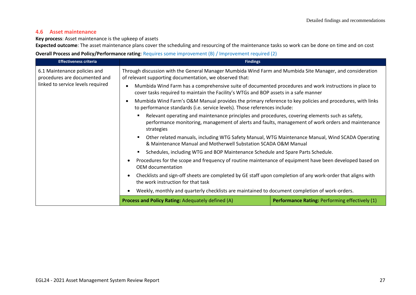## **4.6 Asset maintenance**

#### **Key process**: Asset maintenance is the upkeep of assets

**Expected outcome**: The asset maintenance plans cover the scheduling and resourcing of the maintenance tasks so work can be done on time and on cost

### **Overall Process and Policy/Performance rating**: Requires some improvement (B) / Improvement required (2)

| <b>Effectiveness criteria</b>                                                                                                                                            | <b>Findings</b>                                                                                                                                                                                                                                                                                                                                                      |                                                |
|--------------------------------------------------------------------------------------------------------------------------------------------------------------------------|----------------------------------------------------------------------------------------------------------------------------------------------------------------------------------------------------------------------------------------------------------------------------------------------------------------------------------------------------------------------|------------------------------------------------|
| 6.1 Maintenance policies and<br>procedures are documented and                                                                                                            | Through discussion with the General Manager Mumbida Wind Farm and Mumbida Site Manager, and consideration<br>of relevant supporting documentation, we observed that:                                                                                                                                                                                                 |                                                |
| linked to service levels required                                                                                                                                        | Mumbida Wind Farm has a comprehensive suite of documented procedures and work instructions in place to<br>cover tasks required to maintain the Facility's WTGs and BOP assets in a safe manner                                                                                                                                                                       |                                                |
|                                                                                                                                                                          | Mumbida Wind Farm's O&M Manual provides the primary reference to key policies and procedures, with links<br>to performance standards (i.e. service levels). Those references include:                                                                                                                                                                                |                                                |
|                                                                                                                                                                          | Relevant operating and maintenance principles and procedures, covering elements such as safety,<br>performance monitoring, management of alerts and faults, management of work orders and maintenance<br>strategies                                                                                                                                                  |                                                |
| Other related manuals, including WTG Safety Manual, WTG Maintenance Manual, Wind SCADA Operating<br>٠<br>& Maintenance Manual and Motherwell Substation SCADA O&M Manual |                                                                                                                                                                                                                                                                                                                                                                      |                                                |
|                                                                                                                                                                          | Schedules, including WTG and BOP Maintenance Schedule and Spare Parts Schedule.<br>Procedures for the scope and frequency of routine maintenance of equipment have been developed based on<br>OEM documentation<br>Checklists and sign-off sheets are completed by GE staff upon completion of any work-order that aligns with<br>the work instruction for that task |                                                |
|                                                                                                                                                                          |                                                                                                                                                                                                                                                                                                                                                                      |                                                |
|                                                                                                                                                                          |                                                                                                                                                                                                                                                                                                                                                                      |                                                |
|                                                                                                                                                                          | Weekly, monthly and quarterly checklists are maintained to document completion of work-orders.                                                                                                                                                                                                                                                                       |                                                |
|                                                                                                                                                                          | Process and Policy Rating: Adequately defined (A)                                                                                                                                                                                                                                                                                                                    | Performance Rating: Performing effectively (1) |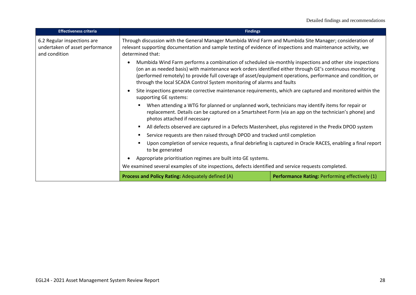| <b>Effectiveness criteria</b>                                                   | <b>Findings</b>                                                                                                                                                                                                                                                                                                                                                                                               |                                                                                                            |  |
|---------------------------------------------------------------------------------|---------------------------------------------------------------------------------------------------------------------------------------------------------------------------------------------------------------------------------------------------------------------------------------------------------------------------------------------------------------------------------------------------------------|------------------------------------------------------------------------------------------------------------|--|
| 6.2 Regular inspections are<br>undertaken of asset performance<br>and condition | Through discussion with the General Manager Mumbida Wind Farm and Mumbida Site Manager; consideration of<br>relevant supporting documentation and sample testing of evidence of inspections and maintenance activity, we<br>determined that:                                                                                                                                                                  |                                                                                                            |  |
|                                                                                 | Mumbida Wind Farm performs a combination of scheduled six-monthly inspections and other site inspections<br>(on an as needed basis) with maintenance work orders identified either through GE's continuous monitoring<br>(performed remotely) to provide full coverage of asset/equipment operations, performance and condition, or<br>through the local SCADA Control System monitoring of alarms and faults |                                                                                                            |  |
|                                                                                 | supporting GE systems:                                                                                                                                                                                                                                                                                                                                                                                        | Site inspections generate corrective maintenance requirements, which are captured and monitored within the |  |
|                                                                                 | When attending a WTG for planned or unplanned work, technicians may identify items for repair or<br>replacement. Details can be captured on a Smartsheet Form (via an app on the technician's phone) and<br>photos attached if necessary                                                                                                                                                                      |                                                                                                            |  |
|                                                                                 | All defects observed are captured in a Defects Mastersheet, plus registered in the Predix DPOD system                                                                                                                                                                                                                                                                                                         |                                                                                                            |  |
|                                                                                 |                                                                                                                                                                                                                                                                                                                                                                                                               | Service requests are then raised through DPOD and tracked until completion                                 |  |
|                                                                                 | Upon completion of service requests, a final debriefing is captured in Oracle RACES, enabling a final report<br>to be generated                                                                                                                                                                                                                                                                               |                                                                                                            |  |
|                                                                                 | Appropriate prioritisation regimes are built into GE systems.                                                                                                                                                                                                                                                                                                                                                 |                                                                                                            |  |
|                                                                                 | We examined several examples of site inspections, defects identified and service requests completed.                                                                                                                                                                                                                                                                                                          |                                                                                                            |  |
|                                                                                 | Process and Policy Rating: Adequately defined (A)                                                                                                                                                                                                                                                                                                                                                             | Performance Rating: Performing effectively (1)                                                             |  |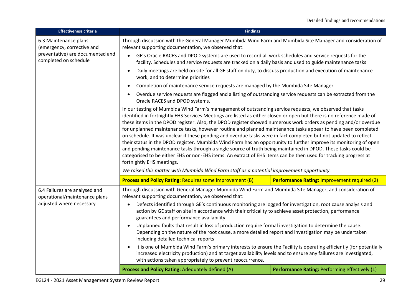| <b>Effectiveness criteria</b>                                                              | <b>Findings</b>                                                                                                                                                                                                                                                                                                                                                                                                                                                                                                                                                                                                                                                                                                                                                                                                                                                                                                                                                                                                                                                                                                                                                                                         |                                                |
|--------------------------------------------------------------------------------------------|---------------------------------------------------------------------------------------------------------------------------------------------------------------------------------------------------------------------------------------------------------------------------------------------------------------------------------------------------------------------------------------------------------------------------------------------------------------------------------------------------------------------------------------------------------------------------------------------------------------------------------------------------------------------------------------------------------------------------------------------------------------------------------------------------------------------------------------------------------------------------------------------------------------------------------------------------------------------------------------------------------------------------------------------------------------------------------------------------------------------------------------------------------------------------------------------------------|------------------------------------------------|
| 6.3 Maintenance plans<br>(emergency, corrective and                                        | Through discussion with the General Manager Mumbida Wind Farm and Mumbida Site Manager and consideration of<br>relevant supporting documentation, we observed that:                                                                                                                                                                                                                                                                                                                                                                                                                                                                                                                                                                                                                                                                                                                                                                                                                                                                                                                                                                                                                                     |                                                |
| preventative) are documented and<br>completed on schedule                                  | GE's Oracle RACES and DPOD systems are used to record all work schedules and service requests for the<br>$\bullet$<br>facility. Schedules and service requests are tracked on a daily basis and used to guide maintenance tasks                                                                                                                                                                                                                                                                                                                                                                                                                                                                                                                                                                                                                                                                                                                                                                                                                                                                                                                                                                         |                                                |
|                                                                                            | Daily meetings are held on site for all GE staff on duty, to discuss production and execution of maintenance<br>work, and to determine priorities                                                                                                                                                                                                                                                                                                                                                                                                                                                                                                                                                                                                                                                                                                                                                                                                                                                                                                                                                                                                                                                       |                                                |
|                                                                                            | Completion of maintenance service requests are managed by the Mumbida Site Manager<br>$\bullet$                                                                                                                                                                                                                                                                                                                                                                                                                                                                                                                                                                                                                                                                                                                                                                                                                                                                                                                                                                                                                                                                                                         |                                                |
|                                                                                            | Overdue service requests are flagged and a listing of outstanding service requests can be extracted from the<br>Oracle RACES and DPOD systems.                                                                                                                                                                                                                                                                                                                                                                                                                                                                                                                                                                                                                                                                                                                                                                                                                                                                                                                                                                                                                                                          |                                                |
|                                                                                            | In our testing of Mumbida Wind Farm's management of outstanding service requests, we observed that tasks<br>identified in fortnightly EHS Services Meetings are listed as either closed or open but there is no reference made of<br>these items in the DPOD register. Also, the DPOD register showed numerous work orders as pending and/or overdue<br>for unplanned maintenance tasks, however routine and planned maintenance tasks appear to have been completed<br>on schedule. It was unclear if these pending and overdue tasks were in fact completed but not updated to reflect<br>their status in the DPOD register. Mumbida Wind Farm has an opportunity to further improve its monitoring of open<br>and pending maintenance tasks through a single source of truth being maintained in DPOD. These tasks could be<br>categorised to be either EHS or non-EHS items. An extract of EHS items can be then used for tracking progress at<br>fortnightly EHS meetings.<br>We raised this matter with Mumbida Wind Farm staff as a potential improvement opportunity.<br><b>Performance Rating: Improvement required (2)</b><br><b>Process and Policy Rating: Requires some improvement (B)</b> |                                                |
|                                                                                            |                                                                                                                                                                                                                                                                                                                                                                                                                                                                                                                                                                                                                                                                                                                                                                                                                                                                                                                                                                                                                                                                                                                                                                                                         |                                                |
| 6.4 Failures are analysed and<br>operational/maintenance plans<br>adjusted where necessary | Through discussion with General Manager Mumbida Wind Farm and Mumbida Site Manager, and consideration of<br>relevant supporting documentation, we observed that:<br>Defects identified through GE's continuous monitoring are logged for investigation, root cause analysis and<br>$\bullet$<br>action by GE staff on site in accordance with their criticality to achieve asset protection, performance<br>guarantees and performance availability<br>Unplanned faults that result in loss of production require formal investigation to determine the cause.<br>Depending on the nature of the root cause, a more detailed report and investigation may be undertaken<br>including detailed technical reports<br>It is one of Mumbida Wind Farm's primary interests to ensure the Facility is operating efficiently (for potentially<br>increased electricity production) and at target availability levels and to ensure any failures are investigated,<br>with actions taken appropriately to prevent reoccurrence.                                                                                                                                                                                 |                                                |
|                                                                                            | Process and Policy Rating: Adequately defined (A)                                                                                                                                                                                                                                                                                                                                                                                                                                                                                                                                                                                                                                                                                                                                                                                                                                                                                                                                                                                                                                                                                                                                                       | Performance Rating: Performing effectively (1) |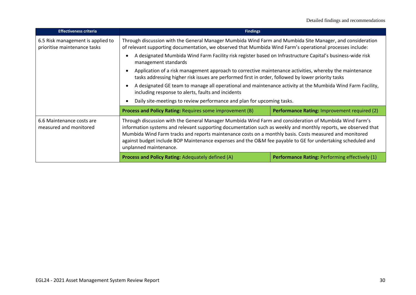| <b>Effectiveness criteria</b>                                     | <b>Findings</b>                                                                                                                                                                                                                                                                                                                                                                                                                                                                                                                                                                            |  |
|-------------------------------------------------------------------|--------------------------------------------------------------------------------------------------------------------------------------------------------------------------------------------------------------------------------------------------------------------------------------------------------------------------------------------------------------------------------------------------------------------------------------------------------------------------------------------------------------------------------------------------------------------------------------------|--|
| 6.5 Risk management is applied to<br>prioritise maintenance tasks | Through discussion with the General Manager Mumbida Wind Farm and Mumbida Site Manager, and consideration<br>of relevant supporting documentation, we observed that Mumbida Wind Farm's operational processes include:                                                                                                                                                                                                                                                                                                                                                                     |  |
|                                                                   | A designated Mumbida Wind Farm Facility risk register based on Infrastructure Capital's business-wide risk<br>management standards                                                                                                                                                                                                                                                                                                                                                                                                                                                         |  |
|                                                                   | Application of a risk management approach to corrective maintenance activities, whereby the maintenance<br>tasks addressing higher risk issues are performed first in order, followed by lower priority tasks<br>A designated GE team to manage all operational and maintenance activity at the Mumbida Wind Farm Facility,<br>including response to alerts, faults and incidents<br>Daily site-meetings to review performance and plan for upcoming tasks.<br><b>Process and Policy Rating: Requires some improvement (B)</b><br>Performance Rating: Improvement required (2)             |  |
|                                                                   |                                                                                                                                                                                                                                                                                                                                                                                                                                                                                                                                                                                            |  |
|                                                                   |                                                                                                                                                                                                                                                                                                                                                                                                                                                                                                                                                                                            |  |
|                                                                   |                                                                                                                                                                                                                                                                                                                                                                                                                                                                                                                                                                                            |  |
| 6.6 Maintenance costs are<br>measured and monitored               | Through discussion with the General Manager Mumbida Wind Farm and consideration of Mumbida Wind Farm's<br>information systems and relevant supporting documentation such as weekly and monthly reports, we observed that<br>Mumbida Wind Farm tracks and reports maintenance costs on a monthly basis. Costs measured and monitored<br>against budget include BOP Maintenance expenses and the O&M fee payable to GE for undertaking scheduled and<br>unplanned maintenance.<br><b>Process and Policy Rating: Adequately defined (A)</b><br>Performance Rating: Performing effectively (1) |  |
|                                                                   |                                                                                                                                                                                                                                                                                                                                                                                                                                                                                                                                                                                            |  |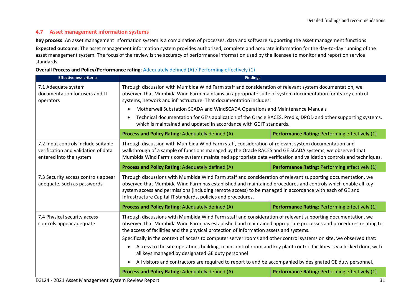## **4.7 Asset management information systems**

**Key process**: An asset management information system is a combination of processes, data and software supporting the asset management functions **Expected outcome**: The asset management information system provides authorised, complete and accurate information for the day-to-day running of the asset management system. The focus of the review is the accuracy of performance information used by the licensee to monitor and report on service standards

#### **Overall Process and Policy/Performance rating**: Adequately defined (A) / Performing effectively (1)

| <b>Effectiveness criteria</b>                                                                         | <b>Findings</b>                                                                                                                                                                                                                                                                                                                                                                                                                                                                                                                                                         |                                                |
|-------------------------------------------------------------------------------------------------------|-------------------------------------------------------------------------------------------------------------------------------------------------------------------------------------------------------------------------------------------------------------------------------------------------------------------------------------------------------------------------------------------------------------------------------------------------------------------------------------------------------------------------------------------------------------------------|------------------------------------------------|
| 7.1 Adequate system<br>documentation for users and IT<br>operators                                    | Through discussion with Mumbida Wind Farm staff and consideration of relevant system documentation, we<br>observed that Mumbida Wind Farm maintains an appropriate suite of system documentation for its key control<br>systems, network and infrastructure. That documentation includes:<br>Motherwell Substation SCADA and WindSCADA Operations and Maintenance Manuals<br>Technical documentation for GE's application of the Oracle RACES, Predix, DPOD and other supporting systems,<br>which is maintained and updated in accordance with GE IT standards.        |                                                |
|                                                                                                       | <b>Process and Policy Rating: Adequately defined (A)</b>                                                                                                                                                                                                                                                                                                                                                                                                                                                                                                                | Performance Rating: Performing effectively (1) |
| 7.2 Input controls include suitable<br>verification and validation of data<br>entered into the system | Through discussion with Mumbida Wind Farm staff, consideration of relevant system documentation and<br>walkthrough of a sample of functions managed by the Oracle RACES and GE SCADA systems, we observed that<br>Mumbida Wind Farm's core systems maintained appropriate data verification and validation controls and techniques.                                                                                                                                                                                                                                     |                                                |
|                                                                                                       | Process and Policy Rating: Adequately defined (A)                                                                                                                                                                                                                                                                                                                                                                                                                                                                                                                       | Performance Rating: Performing effectively (1) |
| 7.3 Security access controls appear<br>adequate, such as passwords                                    | Through discussions with Mumbida Wind Farm staff and consideration of relevant supporting documentation, we<br>observed that Mumbida Wind Farm has established and maintained procedures and controls which enable all key<br>system access and permissions (including remote access) to be managed in accordance with each of GE and<br>Infrastructure Capital IT standards, policies and procedures.                                                                                                                                                                  |                                                |
|                                                                                                       | Process and Policy Rating: Adequately defined (A)                                                                                                                                                                                                                                                                                                                                                                                                                                                                                                                       | Performance Rating: Performing effectively (1) |
| 7.4 Physical security access<br>controls appear adequate                                              | Through discussions with Mumbida Wind Farm staff and consideration of relevant supporting documentation, we<br>observed that Mumbida Wind Farm has established and maintained appropriate processes and procedures relating to<br>the access of facilities and the physical protection of information assets and systems.<br>Specifically in the context of access to computer server rooms and other control systems on site, we observed that:<br>Access to the site operations building, main control room and key plant control facilities is via locked door, with |                                                |
|                                                                                                       | all keys managed by designated GE duty personnel                                                                                                                                                                                                                                                                                                                                                                                                                                                                                                                        |                                                |
|                                                                                                       | All visitors and contractors are required to report to and be accompanied by designated GE duty personnel.                                                                                                                                                                                                                                                                                                                                                                                                                                                              |                                                |
|                                                                                                       | Process and Policy Rating: Adequately defined (A)                                                                                                                                                                                                                                                                                                                                                                                                                                                                                                                       | Performance Rating: Performing effectively (1) |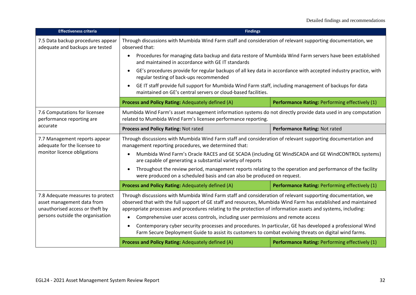| <b>Effectiveness criteria</b>                                                                                                         | <b>Findings</b>                                                                                                                                                                                                                                                                                                                                                                                                                     |                                                |
|---------------------------------------------------------------------------------------------------------------------------------------|-------------------------------------------------------------------------------------------------------------------------------------------------------------------------------------------------------------------------------------------------------------------------------------------------------------------------------------------------------------------------------------------------------------------------------------|------------------------------------------------|
| 7.5 Data backup procedures appear<br>adequate and backups are tested                                                                  | Through discussions with Mumbida Wind Farm staff and consideration of relevant supporting documentation, we<br>observed that:                                                                                                                                                                                                                                                                                                       |                                                |
|                                                                                                                                       | Procedures for managing data backup and data restore of Mumbida Wind Farm servers have been established<br>$\bullet$<br>and maintained in accordance with GE IT standards                                                                                                                                                                                                                                                           |                                                |
|                                                                                                                                       | GE's procedures provide for regular backups of all key data in accordance with accepted industry practice, with<br>regular testing of back-ups recommended                                                                                                                                                                                                                                                                          |                                                |
|                                                                                                                                       | GE IT staff provide full support for Mumbida Wind Farm staff, including management of backups for data<br>maintained on GE's central servers or cloud-based facilities.                                                                                                                                                                                                                                                             |                                                |
|                                                                                                                                       | Process and Policy Rating: Adequately defined (A)                                                                                                                                                                                                                                                                                                                                                                                   | Performance Rating: Performing effectively (1) |
| 7.6 Computations for licensee<br>performance reporting are                                                                            | Mumbida Wind Farm's asset management information systems do not directly provide data used in any computation<br>related to Mumbida Wind Farm's licensee performance reporting.                                                                                                                                                                                                                                                     |                                                |
| accurate                                                                                                                              | Process and Policy Rating: Not rated                                                                                                                                                                                                                                                                                                                                                                                                | Performance Rating: Not rated                  |
| 7.7 Management reports appear<br>adequate for the licensee to                                                                         | Through discussions with Mumbida Wind Farm staff and consideration of relevant supporting documentation and<br>management reporting procedures, we determined that:                                                                                                                                                                                                                                                                 |                                                |
| monitor licence obligations                                                                                                           | Mumbida Wind Farm's Oracle RACES and GE SCADA (including GE WindSCADA and GE WindCONTROL systems)<br>are capable of generating a substantial variety of reports                                                                                                                                                                                                                                                                     |                                                |
|                                                                                                                                       | Throughout the review period, management reports relating to the operation and performance of the facility<br>were produced on a scheduled basis and can also be produced on request.                                                                                                                                                                                                                                               |                                                |
|                                                                                                                                       | Process and Policy Rating: Adequately defined (A)                                                                                                                                                                                                                                                                                                                                                                                   | Performance Rating: Performing effectively (1) |
| 7.8 Adequate measures to protect<br>asset management data from<br>unauthorised access or theft by<br>persons outside the organisation | Through discussions with Mumbida Wind Farm staff and consideration of relevant supporting documentation, we<br>observed that with the full support of GE staff and resources, Mumbida Wind Farm has established and maintained<br>appropriate processes and procedures relating to the protection of information assets and systems, including:<br>Comprehensive user access controls, including user permissions and remote access |                                                |
|                                                                                                                                       | Contemporary cyber security processes and procedures. In particular, GE has developed a professional Wind<br>Farm Secure Deployment Guide to assist its customers to combat evolving threats on digital wind farms.                                                                                                                                                                                                                 |                                                |
|                                                                                                                                       | Process and Policy Rating: Adequately defined (A)                                                                                                                                                                                                                                                                                                                                                                                   | Performance Rating: Performing effectively (1) |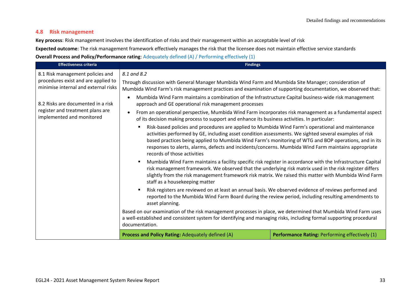## **4.8 Risk management**

**Key process**: Risk management involves the identification of risks and their management within an acceptable level of risk

**Expected outcome**: The risk management framework effectively manages the risk that the licensee does not maintain effective service standards **Overall Process and Policy/Performance rating**: Adequately defined (A) / Performing effectively (1)

| <b>Effectiveness criteria</b>                                               | <b>Findings</b>                                                                                                                                                                                                                                                                                                                                                                                                                                             |                                                |
|-----------------------------------------------------------------------------|-------------------------------------------------------------------------------------------------------------------------------------------------------------------------------------------------------------------------------------------------------------------------------------------------------------------------------------------------------------------------------------------------------------------------------------------------------------|------------------------------------------------|
| 8.1 Risk management policies and                                            | 8.1 and 8.2                                                                                                                                                                                                                                                                                                                                                                                                                                                 |                                                |
| procedures exist and are applied to<br>minimise internal and external risks | Through discussion with General Manager Mumbida Wind Farm and Mumbida Site Manager; consideration of<br>Mumbida Wind Farm's risk management practices and examination of supporting documentation, we observed that:                                                                                                                                                                                                                                        |                                                |
| 8.2 Risks are documented in a risk                                          | Mumbida Wind Farm maintains a combination of the Infrastructure Capital business-wide risk management<br>approach and GE operational risk management processes                                                                                                                                                                                                                                                                                              |                                                |
| register and treatment plans are<br>implemented and monitored               | From an operational perspective, Mumbida Wind Farm incorporates risk management as a fundamental aspect<br>of its decision making process to support and enhance its business activities. In particular:                                                                                                                                                                                                                                                    |                                                |
|                                                                             | Risk-based policies and procedures are applied to Mumbida Wind Farm's operational and maintenance<br>activities performed by GE, including asset condition assessments. We sighted several examples of risk<br>based practices being applied to Mumbida Wind Farm's monitoring of WTG and BOP operations, and in its<br>responses to alerts, alarms, defects and incidents/concerns. Mumbida Wind Farm maintains appropriate<br>records of those activities |                                                |
|                                                                             | Mumbida Wind Farm maintains a facility specific risk register in accordance with the Infrastructure Capital<br>٠<br>risk management framework. We observed that the underlying risk matrix used in the risk register differs<br>slightly from the risk management framework risk matrix. We raised this matter with Mumbida Wind Farm<br>staff as a housekeeping matter                                                                                     |                                                |
|                                                                             | Risk registers are reviewed on at least an annual basis. We observed evidence of reviews performed and<br>reported to the Mumbida Wind Farm Board during the review period, including resulting amendments to<br>asset planning.                                                                                                                                                                                                                            |                                                |
|                                                                             | Based on our examination of the risk management processes in place, we determined that Mumbida Wind Farm uses<br>a well-established and consistent system for identifying and managing risks, including formal supporting procedural<br>documentation.                                                                                                                                                                                                      |                                                |
|                                                                             | Process and Policy Rating: Adequately defined (A)                                                                                                                                                                                                                                                                                                                                                                                                           | Performance Rating: Performing effectively (1) |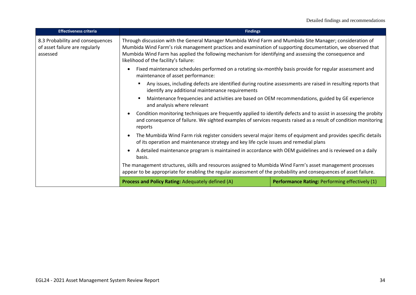| <b>Effectiveness criteria</b>                                                  | <b>Findings</b>                                                                                                                                                                                                                                                                                                                                                             |                                                |
|--------------------------------------------------------------------------------|-----------------------------------------------------------------------------------------------------------------------------------------------------------------------------------------------------------------------------------------------------------------------------------------------------------------------------------------------------------------------------|------------------------------------------------|
| 8.3 Probability and consequences<br>of asset failure are regularly<br>assessed | Through discussion with the General Manager Mumbida Wind Farm and Mumbida Site Manager; consideration of<br>Mumbida Wind Farm's risk management practices and examination of supporting documentation, we observed that<br>Mumbida Wind Farm has applied the following mechanism for identifying and assessing the consequence and<br>likelihood of the facility's failure: |                                                |
|                                                                                | Fixed maintenance schedules performed on a rotating six-monthly basis provide for regular assessment and<br>maintenance of asset performance:                                                                                                                                                                                                                               |                                                |
|                                                                                | Any issues, including defects are identified during routine assessments are raised in resulting reports that<br>identify any additional maintenance requirements                                                                                                                                                                                                            |                                                |
|                                                                                | Maintenance frequencies and activities are based on OEM recommendations, guided by GE experience<br>and analysis where relevant                                                                                                                                                                                                                                             |                                                |
|                                                                                | Condition monitoring techniques are frequently applied to identify defects and to assist in assessing the probity<br>and consequence of failure. We sighted examples of services requests raised as a result of condition monitoring<br>reports                                                                                                                             |                                                |
|                                                                                | The Mumbida Wind Farm risk register considers several major items of equipment and provides specific details<br>of its operation and maintenance strategy and key life cycle issues and remedial plans                                                                                                                                                                      |                                                |
|                                                                                | A detailed maintenance program is maintained in accordance with OEM guidelines and is reviewed on a daily<br>basis.                                                                                                                                                                                                                                                         |                                                |
|                                                                                | The management structures, skills and resources assigned to Mumbida Wind Farm's asset management processes<br>appear to be appropriate for enabling the regular assessment of the probability and consequences of asset failure.                                                                                                                                            |                                                |
|                                                                                | Process and Policy Rating: Adequately defined (A)                                                                                                                                                                                                                                                                                                                           | Performance Rating: Performing effectively (1) |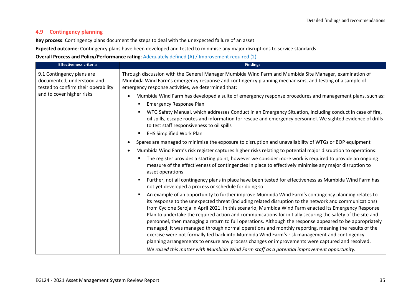## **4.9 Contingency planning**

**Key process**: Contingency plans document the steps to deal with the unexpected failure of an asset

**Expected outcome**: Contingency plans have been developed and tested to minimise any major disruptions to service standards

#### **Overall Process and Policy/Performance rating**: Adequately defined (A) / Improvement required (2)

| <b>Effectiveness criteria</b>                                                                  | <b>Findings</b>                                                                                                                                                                                                                                                                                                                                                                                                                                                                                                                                                                                                                                                                                                                                                                                                                                                                                                                                          |
|------------------------------------------------------------------------------------------------|----------------------------------------------------------------------------------------------------------------------------------------------------------------------------------------------------------------------------------------------------------------------------------------------------------------------------------------------------------------------------------------------------------------------------------------------------------------------------------------------------------------------------------------------------------------------------------------------------------------------------------------------------------------------------------------------------------------------------------------------------------------------------------------------------------------------------------------------------------------------------------------------------------------------------------------------------------|
| 9.1 Contingency plans are<br>documented, understood and<br>tested to confirm their operability | Through discussion with the General Manager Mumbida Wind Farm and Mumbida Site Manager, examination of<br>Mumbida Wind Farm's emergency response and contingency planning mechanisms, and testing of a sample of<br>emergency response activities, we determined that:                                                                                                                                                                                                                                                                                                                                                                                                                                                                                                                                                                                                                                                                                   |
| and to cover higher risks                                                                      | Mumbida Wind Farm has developed a suite of emergency response procedures and management plans, such as:                                                                                                                                                                                                                                                                                                                                                                                                                                                                                                                                                                                                                                                                                                                                                                                                                                                  |
|                                                                                                | <b>Emergency Response Plan</b>                                                                                                                                                                                                                                                                                                                                                                                                                                                                                                                                                                                                                                                                                                                                                                                                                                                                                                                           |
|                                                                                                | WTG Safety Manual, which addresses Conduct in an Emergency Situation, including conduct in case of fire,<br>oil spills, escape routes and information for rescue and emergency personnel. We sighted evidence of drills<br>to test staff responsiveness to oil spills                                                                                                                                                                                                                                                                                                                                                                                                                                                                                                                                                                                                                                                                                    |
|                                                                                                | <b>EHS Simplified Work Plan</b>                                                                                                                                                                                                                                                                                                                                                                                                                                                                                                                                                                                                                                                                                                                                                                                                                                                                                                                          |
|                                                                                                | Spares are managed to minimise the exposure to disruption and unavailability of WTGs or BOP equipment                                                                                                                                                                                                                                                                                                                                                                                                                                                                                                                                                                                                                                                                                                                                                                                                                                                    |
|                                                                                                | Mumbida Wind Farm's risk register captures higher risks relating to potential major disruption to operations:                                                                                                                                                                                                                                                                                                                                                                                                                                                                                                                                                                                                                                                                                                                                                                                                                                            |
|                                                                                                | The register provides a starting point, however we consider more work is required to provide an ongoing<br>measure of the effectiveness of contingencies in place to effectively minimise any major disruption to<br>asset operations                                                                                                                                                                                                                                                                                                                                                                                                                                                                                                                                                                                                                                                                                                                    |
|                                                                                                | Further, not all contingency plans in place have been tested for effectiveness as Mumbida Wind Farm has<br>not yet developed a process or schedule for doing so                                                                                                                                                                                                                                                                                                                                                                                                                                                                                                                                                                                                                                                                                                                                                                                          |
|                                                                                                | An example of an opportunity to further improve Mumbida Wind Farm's contingency planning relates to<br>its response to the unexpected threat (including related disruption to the network and communications)<br>from Cyclone Seroja in April 2021. In this scenario, Mumbida Wind Farm enacted its Emergency Response<br>Plan to undertake the required action and communications for initially securing the safety of the site and<br>personnel, then managing a return to full operations. Although the response appeared to be appropriately<br>managed, it was managed through normal operations and monthly reporting, meaning the results of the<br>exercise were not formally fed back into Mumbida Wind Farm's risk management and contingency<br>planning arrangements to ensure any process changes or improvements were captured and resolved.<br>We raised this matter with Mumbida Wind Farm staff as a potential improvement opportunity. |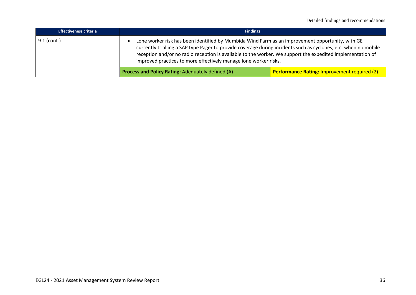| <b>Effectiveness criteria</b> | <b>Findings</b>                                                                                                                                                                                                                                                                                                                                                                                       |                                                     |
|-------------------------------|-------------------------------------------------------------------------------------------------------------------------------------------------------------------------------------------------------------------------------------------------------------------------------------------------------------------------------------------------------------------------------------------------------|-----------------------------------------------------|
| $9.1$ (cont.)                 | Lone worker risk has been identified by Mumbida Wind Farm as an improvement opportunity, with GE<br>currently trialling a SAP type Pager to provide coverage during incidents such as cyclones, etc. when no mobile<br>reception and/or no radio reception is available to the worker. We support the expedited implementation of<br>improved practices to more effectively manage lone worker risks. |                                                     |
|                               | <b>Process and Policy Rating: Adequately defined (A)</b>                                                                                                                                                                                                                                                                                                                                              | <b>Performance Rating: Improvement required (2)</b> |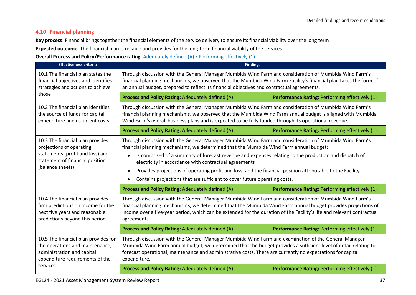## **4.10 Financial planning**

**Key process**: Financial brings together the financial elements of the service delivery to ensure its financial viability over the long term

**Expected outcome**: The financial plan is reliable and provides for the long-term financial viability of the services

### **Overall Process and Policy/Performance rating**: Adequately defined (A) / Performing effectively (1)

| <b>Effectiveness criteria</b>                                                                                                                           | <b>Findings</b>                                                                                                                                                                                                                                                                                                                                                                                                                                                                                                                                                                                                                                                      |                                                |
|---------------------------------------------------------------------------------------------------------------------------------------------------------|----------------------------------------------------------------------------------------------------------------------------------------------------------------------------------------------------------------------------------------------------------------------------------------------------------------------------------------------------------------------------------------------------------------------------------------------------------------------------------------------------------------------------------------------------------------------------------------------------------------------------------------------------------------------|------------------------------------------------|
| 10.1 The financial plan states the<br>financial objectives and identifies<br>strategies and actions to achieve                                          | Through discussion with the General Manager Mumbida Wind Farm and consideration of Mumbida Wind Farm's<br>financial planning mechanisms, we observed that the Mumbida Wind Farm Facility's financial plan takes the form of<br>an annual budget, prepared to reflect its financial objectives and contractual agreements.                                                                                                                                                                                                                                                                                                                                            |                                                |
| those                                                                                                                                                   | Process and Policy Rating: Adequately defined (A)                                                                                                                                                                                                                                                                                                                                                                                                                                                                                                                                                                                                                    | Performance Rating: Performing effectively (1) |
| 10.2 The financial plan identifies<br>the source of funds for capital<br>expenditure and recurrent costs                                                | Through discussion with the General Manager Mumbida Wind Farm and consideration of Mumbida Wind Farm's<br>financial planning mechanisms, we observed that the Mumbida Wind Farm annual budget is aligned with Mumbida<br>Wind Farm's overall business plans and is expected to be fully funded through its operational revenue.                                                                                                                                                                                                                                                                                                                                      |                                                |
|                                                                                                                                                         | Process and Policy Rating: Adequately defined (A)                                                                                                                                                                                                                                                                                                                                                                                                                                                                                                                                                                                                                    | Performance Rating: Performing effectively (1) |
| 10.3 The financial plan provides<br>projections of operating<br>statements (profit and loss) and<br>statement of financial position<br>(balance sheets) | Through discussion with the General Manager Mumbida Wind Farm and consideration of Mumbida Wind Farm's<br>financial planning mechanisms, we determined that the Mumbida Wind Farm annual budget:<br>Is comprised of a summary of forecast revenue and expenses relating to the production and dispatch of<br>electricity in accordance with contractual agreements<br>Provides projections of operating profit and loss, and the financial position attributable to the Facility<br>Contains projections that are sufficient to cover future operating costs.<br>Process and Policy Rating: Adequately defined (A)<br>Performance Rating: Performing effectively (1) |                                                |
| 10.4 The financial plan provides<br>firm predictions on income for the<br>next five years and reasonable<br>predictions beyond this period              | Through discussion with the General Manager Mumbida Wind Farm and consideration of Mumbida Wind Farm's<br>financial planning mechanisms, we determined that the Mumbida Wind Farm annual budget provides projections of<br>income over a five-year period, which can be extended for the duration of the Facility's life and relevant contractual<br>agreements.<br>Process and Policy Rating: Adequately defined (A)<br>Performance Rating: Performing effectively (1)                                                                                                                                                                                              |                                                |
| 10.5 The financial plan provides for<br>the operations and maintenance,<br>administration and capital<br>expenditure requirements of the<br>services    | Through discussion with the General Manager Mumbida Wind Farm and examination of the General Manager<br>Mumbida Wind Farm annual budget, we determined that the budget provides a sufficient level of detail relating to<br>forecast operational, maintenance and administrative costs. There are currently no expectations for capital<br>expenditure.                                                                                                                                                                                                                                                                                                              |                                                |
|                                                                                                                                                         | Process and Policy Rating: Adequately defined (A)                                                                                                                                                                                                                                                                                                                                                                                                                                                                                                                                                                                                                    | Performance Rating: Performing effectively (1) |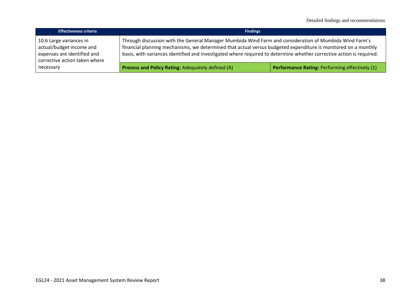| <b>Effectiveness criteria</b>                                                                                       | <b>Findings</b>                                                                                                                                                                                                                                                                                                                                  |                                                |
|---------------------------------------------------------------------------------------------------------------------|--------------------------------------------------------------------------------------------------------------------------------------------------------------------------------------------------------------------------------------------------------------------------------------------------------------------------------------------------|------------------------------------------------|
| 10.6 Large variances in<br>actual/budget income and<br>expenses are identified and<br>corrective action taken where | Through discussion with the General Manager Mumbida Wind Farm and consideration of Mumbida Wind Farm's<br>financial planning mechanisms, we determined that actual versus budgeted expenditure is monitored on a monthly<br>basis, with variances identified and investigated where required to determine whether corrective action is required. |                                                |
| necessary                                                                                                           | <b>Process and Policy Rating: Adequately defined (A)</b>                                                                                                                                                                                                                                                                                         | Performance Rating: Performing effectively (1) |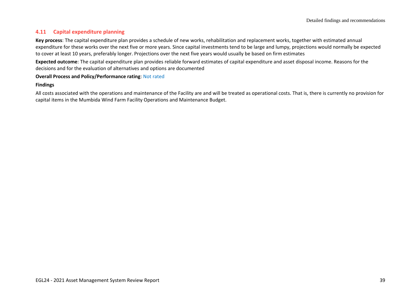## **4.11 Capital expenditure planning**

**Key process**: The capital expenditure plan provides a schedule of new works, rehabilitation and replacement works, together with estimated annual expenditure for these works over the next five or more years. Since capital investments tend to be large and lumpy, projections would normally be expected to cover at least 10 years, preferably longer. Projections over the next five years would usually be based on firm estimates

**Expected outcome**: The capital expenditure plan provides reliable forward estimates of capital expenditure and asset disposal income. Reasons for the decisions and for the evaluation of alternatives and options are documented

#### **Overall Process and Policy/Performance rating**: Not rated

#### **Findings**

All costs associated with the operations and maintenance of the Facility are and will be treated as operational costs. That is, there is currently no provision for capital items in the Mumbida Wind Farm Facility Operations and Maintenance Budget.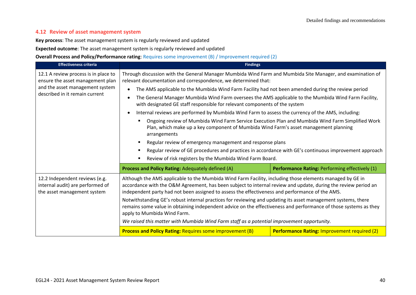### **4.12 Review of asset management system**

**Key process**: The asset management system is regularly reviewed and updated

**Expected outcome**: The asset management system is regularly reviewed and updated

**Overall Process and Policy/Performance rating**: Requires some improvement (B) / Improvement required (2)

| <b>Effectiveness criteria</b>                                                                     | <b>Findings</b>                                                                                                                                                                                                                                                                                                                                                                                                                                                                                                                                                                                                                                                                                 |                                                     |  |
|---------------------------------------------------------------------------------------------------|-------------------------------------------------------------------------------------------------------------------------------------------------------------------------------------------------------------------------------------------------------------------------------------------------------------------------------------------------------------------------------------------------------------------------------------------------------------------------------------------------------------------------------------------------------------------------------------------------------------------------------------------------------------------------------------------------|-----------------------------------------------------|--|
| 12.1 A review process is in place to<br>ensure the asset management plan                          | Through discussion with the General Manager Mumbida Wind Farm and Mumbida Site Manager, and examination of<br>relevant documentation and correspondence, we determined that:                                                                                                                                                                                                                                                                                                                                                                                                                                                                                                                    |                                                     |  |
| and the asset management system                                                                   | The AMS applicable to the Mumbida Wind Farm Facility had not been amended during the review period                                                                                                                                                                                                                                                                                                                                                                                                                                                                                                                                                                                              |                                                     |  |
| described in it remain current                                                                    | The General Manager Mumbida Wind Farm oversees the AMS applicable to the Mumbida Wind Farm Facility,<br>with designated GE staff responsible for relevant components of the system                                                                                                                                                                                                                                                                                                                                                                                                                                                                                                              |                                                     |  |
|                                                                                                   | Internal reviews are performed by Mumbida Wind Farm to assess the currency of the AMS, including:                                                                                                                                                                                                                                                                                                                                                                                                                                                                                                                                                                                               |                                                     |  |
|                                                                                                   | Ongoing review of Mumbida Wind Farm Service Execution Plan and Mumbida Wind Farm Simplified Work<br>Plan, which make up a key component of Mumbida Wind Farm's asset management planning<br>arrangements<br>Regular review of emergency management and response plans                                                                                                                                                                                                                                                                                                                                                                                                                           |                                                     |  |
|                                                                                                   | Regular review of GE procedures and practices in accordance with GE's continuous improvement approach<br>Review of risk registers by the Mumbida Wind Farm Board.                                                                                                                                                                                                                                                                                                                                                                                                                                                                                                                               |                                                     |  |
|                                                                                                   | Process and Policy Rating: Adequately defined (A)                                                                                                                                                                                                                                                                                                                                                                                                                                                                                                                                                                                                                                               | Performance Rating: Performing effectively (1)      |  |
| 12.2 Independent reviews (e.g.<br>internal audit) are performed of<br>the asset management system | Although the AMS applicable to the Mumbida Wind Farm Facility, including those elements managed by GE in<br>accordance with the O&M Agreement, has been subject to internal review and update, during the review period an<br>independent party had not been assigned to assess the effectiveness and performance of the AMS.<br>Notwithstanding GE's robust internal practices for reviewing and updating its asset management systems, there<br>remains some value in obtaining independent advice on the effectiveness and performance of those systems as they<br>apply to Mumbida Wind Farm.<br>We raised this matter with Mumbida Wind Farm staff as a potential improvement opportunity. |                                                     |  |
|                                                                                                   | <b>Process and Policy Rating: Requires some improvement (B)</b>                                                                                                                                                                                                                                                                                                                                                                                                                                                                                                                                                                                                                                 | <b>Performance Rating: Improvement required (2)</b> |  |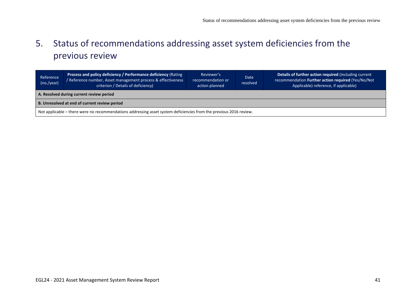# 5. Status of recommendations addressing asset system deficiencies from the previous review

<span id="page-40-0"></span>

| Reference<br>(no./year)                                                                                            | Process and policy deficiency / Performance deficiency (Rating<br>Reference number, Asset management process & effectiveness<br>criterion / Details of deficiency) | Reviewer's<br>recommendation or<br>action planned | Date<br>resolved | Details of further action required (including current<br>recommendation Further action required (Yes/No/Not<br>Applicable) reference, if applicable) |
|--------------------------------------------------------------------------------------------------------------------|--------------------------------------------------------------------------------------------------------------------------------------------------------------------|---------------------------------------------------|------------------|------------------------------------------------------------------------------------------------------------------------------------------------------|
| A. Resolved during current review period                                                                           |                                                                                                                                                                    |                                                   |                  |                                                                                                                                                      |
| B. Unresolved at end of current review period                                                                      |                                                                                                                                                                    |                                                   |                  |                                                                                                                                                      |
| Not applicable - there were no recommendations addressing asset system deficiencies from the previous 2016 review. |                                                                                                                                                                    |                                                   |                  |                                                                                                                                                      |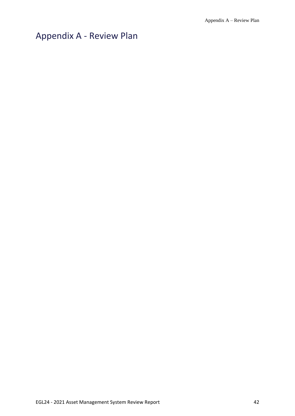# <span id="page-41-0"></span>Appendix A - Review Plan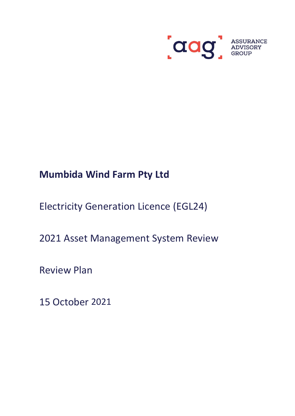

# **Mumbida Wind Farm Pty Ltd**

Electricity Generation Licence (EGL24)

2021 Asset Management System Review

Review Plan

15 October 2021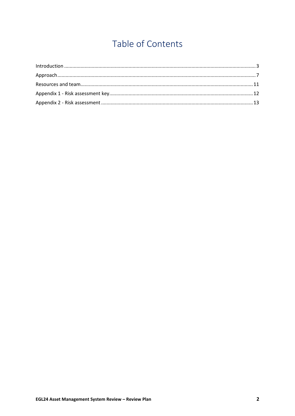# Table of Contents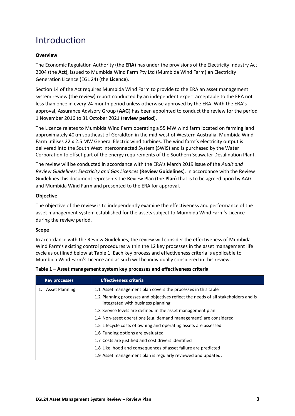## <span id="page-44-0"></span>Introduction

## **Overview**

The Economic Regulation Authority (the **ERA**) has under the provisions of the Electricity Industry Act 2004 (the **Act**), issued to Mumbida Wind Farm Pty Ltd (Mumbida Wind Farm) an Electricity Generation Licence (EGL 24) (the **Licence**).

Section 14 of the Act requires Mumbida Wind Farm to provide to the ERA an asset management system review (the review) report conducted by an independent expert acceptable to the ERA not less than once in every 24-month period unless otherwise approved by the ERA. With the ERA's approval, Assurance Advisory Group (**AAG**) has been appointed to conduct the review for the period 1 November 2016 to 31 October 2021 (**review period**).

The Licence relates to Mumbida Wind Farm operating a 55 MW wind farm located on farming land approximately 40km southeast of Geraldton in the mid-west of Western Australia. Mumbida Wind Farm utilises 22 x 2.5 MW General Electric wind turbines. The wind farm's electricity output is delivered into the South West Interconnected System (SWIS) and is purchased by the Water Corporation to offset part of the energy requirements of the Southern Seawater Desalination Plant.

The review will be conducted in accordance with the ERA's March 2019 issue of the *Audit and Review Guidelines: Electricity and Gas Licences* (**Review Guidelines**). In accordance with the Review Guidelines this document represents the Review Plan (the **Plan**) that is to be agreed upon by AAG and Mumbida Wind Farm and presented to the ERA for approval.

#### **Objective**

The objective of the review is to independently examine the effectiveness and performance of the asset management system established for the assets subject to Mumbida Wind Farm's Licence during the review period.

#### **Scope**

In accordance with the Review Guidelines, the review will consider the effectiveness of Mumbida Wind Farm's existing control procedures within the 12 key processes in the asset management life cycle as outlined below at Table 1. Each key process and effectiveness criteria is applicable to Mumbida Wind Farm's Licence and as such will be individually considered in this review.

| <b>Key processes</b>  | <b>Effectiveness criteria</b>                                                                                           |
|-----------------------|-------------------------------------------------------------------------------------------------------------------------|
| <b>Asset Planning</b> | 1.1 Asset management plan covers the processes in this table                                                            |
|                       | 1.2 Planning processes and objectives reflect the needs of all stakeholders and is<br>integrated with business planning |
|                       | 1.3 Service levels are defined in the asset management plan                                                             |
|                       | 1.4 Non-asset operations (e.g. demand management) are considered                                                        |
|                       | 1.5 Lifecycle costs of owning and operating assets are assessed                                                         |
|                       | 1.6 Funding options are evaluated                                                                                       |
|                       | 1.7 Costs are justified and cost drivers identified                                                                     |
|                       | 1.8 Likelihood and consequences of asset failure are predicted                                                          |
|                       | 1.9 Asset management plan is regularly reviewed and updated.                                                            |

**Table 1 – Asset management system key processes and effectiveness criteria**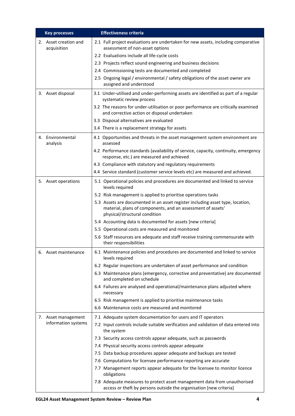| <b>Key processes</b>                 | <b>Effectiveness criteria</b>                                                                                                                                                  |
|--------------------------------------|--------------------------------------------------------------------------------------------------------------------------------------------------------------------------------|
| 2. Asset creation and<br>acquisition | 2.1 Full project evaluations are undertaken for new assets, including comparative<br>assessment of non-asset options                                                           |
|                                      | 2.2 Evaluations include all life-cycle costs                                                                                                                                   |
|                                      | 2.3 Projects reflect sound engineering and business decisions                                                                                                                  |
|                                      | 2.4 Commissioning tests are documented and completed                                                                                                                           |
|                                      | 2.5 Ongoing legal / environmental / safety obligations of the asset owner are<br>assigned and understood                                                                       |
| 3. Asset disposal                    | 3.1 Under-utilised and under-performing assets are identified as part of a regular<br>systematic review process                                                                |
|                                      | 3.2 The reasons for under-utilisation or poor performance are critically examined<br>and corrective action or disposal undertaken                                              |
|                                      | 3.3 Disposal alternatives are evaluated                                                                                                                                        |
|                                      | 3.4 There is a replacement strategy for assets                                                                                                                                 |
| 4. Environmental<br>analysis         | 4.1 Opportunities and threats in the asset management system environment are<br>assessed                                                                                       |
|                                      | 4.2 Performance standards (availability of service, capacity, continuity, emergency<br>response, etc.) are measured and achieved                                               |
|                                      | 4.3 Compliance with statutory and regulatory requirements                                                                                                                      |
|                                      | 4.4 Service standard (customer service levels etc) are measured and achieved.                                                                                                  |
| 5. Asset operations                  | 5.1 Operational policies and procedures are documented and linked to service<br>levels required                                                                                |
|                                      | 5.2 Risk management is applied to prioritise operations tasks                                                                                                                  |
|                                      | 5.3 Assets are documented in an asset register including asset type, location,<br>material, plans of components, and an assessment of assets'<br>physical/structural condition |
|                                      | 5.4 Accounting data is documented for assets [new criteria]                                                                                                                    |
|                                      | 5.5 Operational costs are measured and monitored                                                                                                                               |
|                                      | 5.6 Staff resources are adequate and staff receive training commensurate with<br>their responsibilities                                                                        |
| 6. Asset maintenance                 | 6.1 Maintenance policies and procedures are documented and linked to service<br>levels required                                                                                |
|                                      | 6.2 Regular inspections are undertaken of asset performance and condition                                                                                                      |
|                                      | 6.3 Maintenance plans (emergency, corrective and preventative) are documented<br>and completed on schedule                                                                     |
|                                      | 6.4 Failures are analysed and operational/maintenance plans adjusted where<br>necessary                                                                                        |
|                                      | 6.5 Risk management is applied to prioritise maintenance tasks                                                                                                                 |
|                                      | 6.6 Maintenance costs are measured and monitored                                                                                                                               |
| 7. Asset management                  | 7.1 Adequate system documentation for users and IT operators                                                                                                                   |
| information systems                  | 7.2 Input controls include suitable verification and validation of data entered into<br>the system                                                                             |
|                                      | 7.3 Security access controls appear adequate, such as passwords                                                                                                                |
|                                      | 7.4 Physical security access controls appear adequate                                                                                                                          |
|                                      | 7.5 Data backup procedures appear adequate and backups are tested                                                                                                              |
|                                      | 7.6 Computations for licensee performance reporting are accurate                                                                                                               |
|                                      | 7.7 Management reports appear adequate for the licensee to monitor licence<br>obligations                                                                                      |
|                                      | 7.8 Adequate measures to protect asset management data from unauthorised<br>access or theft by persons outside the organisation [new criteria]                                 |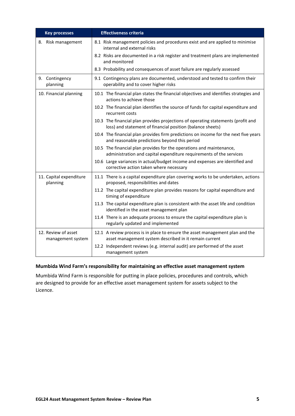| <b>Key processes</b>                     | <b>Effectiveness criteria</b>                                                                                                                  |
|------------------------------------------|------------------------------------------------------------------------------------------------------------------------------------------------|
| 8. Risk management                       | 8.1 Risk management policies and procedures exist and are applied to minimise<br>internal and external risks                                   |
|                                          | 8.2 Risks are documented in a risk register and treatment plans are implemented<br>and monitored                                               |
|                                          | 8.3 Probability and consequences of asset failure are regularly assessed                                                                       |
| 9. Contingency<br>planning               | 9.1 Contingency plans are documented, understood and tested to confirm their<br>operability and to cover higher risks                          |
| 10. Financial planning                   | 10.1 The financial plan states the financial objectives and identifies strategies and<br>actions to achieve those                              |
|                                          | 10.2 The financial plan identifies the source of funds for capital expenditure and<br>recurrent costs                                          |
|                                          | 10.3 The financial plan provides projections of operating statements (profit and<br>loss) and statement of financial position (balance sheets) |
|                                          | 10.4 The financial plan provides firm predictions on income for the next five years<br>and reasonable predictions beyond this period           |
|                                          | 10.5 The financial plan provides for the operations and maintenance,<br>administration and capital expenditure requirements of the services    |
|                                          | 10.6 Large variances in actual/budget income and expenses are identified and<br>corrective action taken where necessary                        |
| 11. Capital expenditure<br>planning      | 11.1 There is a capital expenditure plan covering works to be undertaken, actions<br>proposed, responsibilities and dates                      |
|                                          | 11.2 The capital expenditure plan provides reasons for capital expenditure and<br>timing of expenditure                                        |
|                                          | 11.3 The capital expenditure plan is consistent with the asset life and condition<br>identified in the asset management plan                   |
|                                          | 11.4 There is an adequate process to ensure the capital expenditure plan is<br>regularly updated and implemented                               |
| 12. Review of asset<br>management system | 12.1 A review process is in place to ensure the asset management plan and the<br>asset management system described in it remain current        |
|                                          | 12.2 Independent reviews (e.g. internal audit) are performed of the asset<br>management system                                                 |

## **Mumbida Wind Farm's responsibility for maintaining an effective asset management system**

Mumbida Wind Farm is responsible for putting in place policies, procedures and controls, which are designed to provide for an effective asset management system for assets subject to the Licence.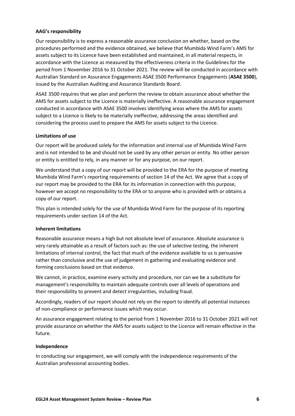#### **AAG's responsibility**

Our responsibility is to express a reasonable assurance conclusion on whether, based on the procedures performed and the evidence obtained, we believe that Mumbida Wind Farm's AMS for assets subject to its Licence have been established and maintained, in all material respects, in accordance with the Licence as measured by the effectiveness criteria in the Guidelines for the period from 1 November 2016 to 31 October 2021. The review will be conducted in accordance with Australian Standard on Assurance Engagements ASAE 3500 Performance Engagements (**ASAE 3500**), issued by the Australian Auditing and Assurance Standards Board.

ASAE 3500 requires that we plan and perform the review to obtain assurance about whether the AMS for assets subject to the Licence is materially ineffective. A reasonable assurance engagement conducted in accordance with ASAE 3500 involves identifying areas where the AMS for assets subject to a Licence is likely to be materially ineffective, addressing the areas identified and considering the process used to prepare the AMS for assets subject to the Licence.

#### **Limitations of use**

Our report will be produced solely for the information and internal use of Mumbida Wind Farm and is not intended to be and should not be used by any other person or entity. No other person or entity is entitled to rely, in any manner or for any purpose, on our report.

We understand that a copy of our report will be provided to the ERA for the purpose of meeting Mumbida Wind Farm's reporting requirements of section 14 of the Act. We agree that a copy of our report may be provided to the ERA for its information in connection with this purpose, however we accept no responsibility to the ERA or to anyone who is provided with or obtains a copy of our report.

This plan is intended solely for the use of Mumbida Wind Farm for the purpose of its reporting requirements under section 14 of the Act.

#### **Inherent limitations**

Reasonable assurance means a high but not absolute level of assurance. Absolute assurance is very rarely attainable as a result of factors such as: the use of selective testing, the inherent limitations of internal control, the fact that much of the evidence available to us is persuasive rather than conclusive and the use of judgement in gathering and evaluating evidence and forming conclusions based on that evidence.

We cannot, in practice, examine every activity and procedure, nor can we be a substitute for management's responsibility to maintain adequate controls over all levels of operations and their responsibility to prevent and detect irregularities, including fraud.

Accordingly, readers of our report should not rely on the report to identify all potential instances of non-compliance or performance issues which may occur.

An assurance engagement relating to the period from 1 November 2016 to 31 October 2021 will not provide assurance on whether the AMS for assets subject to the Licence will remain effective in the future.

#### **Independence**

In conducting our engagement, we will comply with the independence requirements of the Australian professional accounting bodies.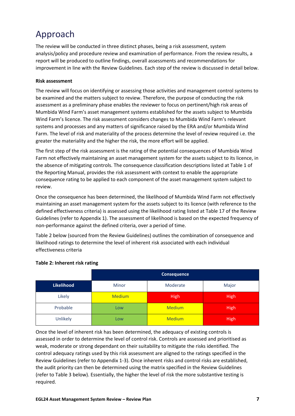# <span id="page-48-0"></span>Approach

The review will be conducted in three distinct phases, being a risk assessment, system analysis/policy and procedure review and examination of performance. From the review results, a report will be produced to outline findings, overall assessments and recommendations for improvement in line with the Review Guidelines. Each step of the review is discussed in detail below.

## **Risk assessment**

The review will focus on identifying or assessing those activities and management control systems to be examined and the matters subject to review. Therefore, the purpose of conducting the risk assessment as a preliminary phase enables the reviewer to focus on pertinent/high risk areas of Mumbida Wind Farm's asset management systems established for the assets subject to Mumbida Wind Farm's licence. The risk assessment considers changes to Mumbida Wind Farm's relevant systems and processes and any matters of significance raised by the ERA and/or Mumbida Wind Farm. The level of risk and materiality of the process determine the level of review required i.e. the greater the materiality and the higher the risk, the more effort will be applied.

The first step of the risk assessment is the rating of the potential consequences of Mumbida Wind Farm not effectively maintaining an asset management system for the assets subject to its licence, in the absence of mitigating controls. The consequence classification descriptions listed at Table 1 of the Reporting Manual, provides the risk assessment with context to enable the appropriate consequence rating to be applied to each component of the asset management system subject to review.

Once the consequence has been determined, the likelihood of Mumbida Wind Farm not effectively maintaining an asset management system for the assets subject to its licence (with reference to the defined effectiveness criteria) is assessed using the likelihood rating listed at Table 17 of the Review Guidelines (refer to Appendix 1). The assessment of likelihood is based on the expected frequency of non-performance against the defined criteria, over a period of time.

Table 2 below (sourced from the Review Guidelines) outlines the combination of consequence and likelihood ratings to determine the level of inherent risk associated with each individual effectiveness criteria

|            | <b>Consequence</b> |               |             |  |
|------------|--------------------|---------------|-------------|--|
| Likelihood | <b>Minor</b>       | Moderate      | Major       |  |
| Likely     | <b>Medium</b>      | <b>High</b>   |             |  |
| Probable   | Low                | <b>Medium</b> | <b>High</b> |  |
| Unlikely   | Low                | <b>Medium</b> | <b>High</b> |  |

#### **Table 2: Inherent risk rating**

Once the level of inherent risk has been determined, the adequacy of existing controls is assessed in order to determine the level of control risk. Controls are assessed and prioritised as weak, moderate or strong dependant on their suitability to mitigate the risks identified. The control adequacy ratings used by this risk assessment are aligned to the ratings specified in the Review Guidelines (refer to Appendix 1-3). Once inherent risks and control risks are established, the audit priority can then be determined using the matrix specified in the Review Guidelines (refer to Table 3 below). Essentially, the higher the level of risk the more substantive testing is required.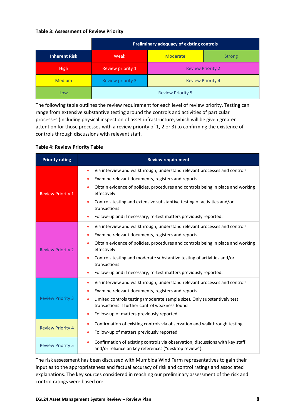#### **Table 3: Assessment of Review Priority**

|                      | <b>Preliminary adequacy of existing controls</b> |                          |  |  |  |  |
|----------------------|--------------------------------------------------|--------------------------|--|--|--|--|
| <b>Inherent Risk</b> | <b>Moderate</b><br>Weak<br><b>Strong</b>         |                          |  |  |  |  |
| <b>High</b>          | Review priority 1                                | <b>Review Priority 2</b> |  |  |  |  |
| <b>Medium</b>        | <b>Review priority 3</b>                         | <b>Review Priority 4</b> |  |  |  |  |
| Low                  |                                                  | <b>Review Priority 5</b> |  |  |  |  |

The following table outlines the review requirement for each level of review priority. Testing can range from extensive substantive testing around the controls and activities of particular processes (including physical inspection of asset infrastructure, which will be given greater attention for those processes with a review priority of 1, 2 or 3) to confirming the existence of controls through discussions with relevant staff.

#### **Table 4: Review Priority Table**

| <b>Priority rating</b>   | <b>Review requirement</b>                                                                                                                                |
|--------------------------|----------------------------------------------------------------------------------------------------------------------------------------------------------|
|                          | Via interview and walkthrough, understand relevant processes and controls<br>$\bullet$<br>Examine relevant documents, registers and reports<br>$\bullet$ |
| <b>Review Priority 1</b> | Obtain evidence of policies, procedures and controls being in place and working<br>$\bullet$<br>effectively                                              |
|                          | Controls testing and extensive substantive testing of activities and/or<br>$\bullet$<br>transactions                                                     |
|                          | Follow-up and if necessary, re-test matters previously reported.<br>$\bullet$                                                                            |
|                          | Via interview and walkthrough, understand relevant processes and controls<br>$\bullet$                                                                   |
|                          | Examine relevant documents, registers and reports<br>$\bullet$                                                                                           |
| <b>Review Priority 2</b> | Obtain evidence of policies, procedures and controls being in place and working<br>effectively                                                           |
|                          | Controls testing and moderate substantive testing of activities and/or<br>transactions                                                                   |
|                          | Follow-up and if necessary, re-test matters previously reported.<br>$\bullet$                                                                            |
|                          | Via interview and walkthrough, understand relevant processes and controls<br>$\bullet$                                                                   |
|                          | Examine relevant documents, registers and reports<br>$\bullet$                                                                                           |
| <b>Review Priority 3</b> | Limited controls testing (moderate sample size). Only substantively test<br>$\bullet$<br>transactions if further control weakness found                  |
|                          | Follow-up of matters previously reported.<br>$\bullet$                                                                                                   |
|                          | Confirmation of existing controls via observation and walkthrough testing<br>$\bullet$                                                                   |
| <b>Review Priority 4</b> | Follow-up of matters previously reported.<br>$\bullet$                                                                                                   |
| <b>Review Priority 5</b> | Confirmation of existing controls via observation, discussions with key staff<br>$\bullet$<br>and/or reliance on key references ("desktop review").      |

The risk assessment has been discussed with Mumbida Wind Farm representatives to gain their input as to the appropriateness and factual accuracy of risk and control ratings and associated explanations. The key sources considered in reaching our preliminary assessment of the risk and control ratings were based on: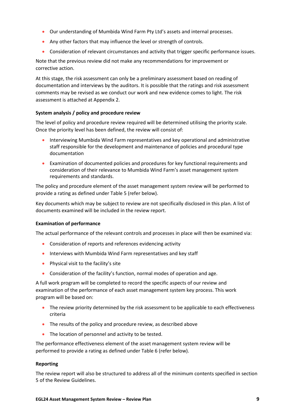- Our understanding of Mumbida Wind Farm Pty Ltd's assets and internal processes.
- Any other factors that may influence the level or strength of controls.
- Consideration of relevant circumstances and activity that trigger specific performance issues.

Note that the previous review did not make any recommendations for improvement or corrective action.

At this stage, the risk assessment can only be a preliminary assessment based on reading of documentation and interviews by the auditors. It is possible that the ratings and risk assessment comments may be revised as we conduct our work and new evidence comes to light. The risk assessment is attached at Appendix 2.

#### **System analysis / policy and procedure review**

The level of policy and procedure review required will be determined utilising the priority scale. Once the priority level has been defined, the review will consist of:

- Interviewing Mumbida Wind Farm representatives and key operational and administrative staff responsible for the development and maintenance of policies and procedural type documentation
- Examination of documented policies and procedures for key functional requirements and consideration of their relevance to Mumbida Wind Farm's asset management system requirements and standards.

The policy and procedure element of the asset management system review will be performed to provide a rating as defined under Table 5 (refer below).

Key documents which may be subject to review are not specifically disclosed in this plan. A list of documents examined will be included in the review report.

#### **Examination of performance**

The actual performance of the relevant controls and processes in place will then be examined via:

- Consideration of reports and references evidencing activity
- Interviews with Mumbida Wind Farm representatives and key staff
- Physical visit to the facility's site
- Consideration of the facility's function, normal modes of operation and age.

A full work program will be completed to record the specific aspects of our review and examination of the performance of each asset management system key process. This work program will be based on:

- The review priority determined by the risk assessment to be applicable to each effectiveness criteria
- The results of the policy and procedure review, as described above
- The location of personnel and activity to be tested.

The performance effectiveness element of the asset management system review will be performed to provide a rating as defined under Table 6 (refer below).

#### **Reporting**

The review report will also be structured to address all of the minimum contents specified in section 5 of the Review Guidelines.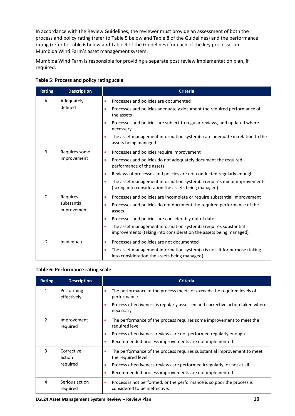In accordance with the Review Guidelines, the reviewer must provide an assessment of both the process and policy rating (refer to Table 5 below and Table 8 of the Guidelines) and the performance rating (refer to Table 6 below and Table 9 of the Guidelines) for each of the key processes in Mumbida Wind Farm's asset management system.

Mumbida Wind Farm is responsible for providing a separate post review implementation plan, if required.

| <b>Rating</b> | <b>Description</b>                     | <b>Criteria</b>                                                                                                                                                                                                                                                                                                                                                                                 |  |  |
|---------------|----------------------------------------|-------------------------------------------------------------------------------------------------------------------------------------------------------------------------------------------------------------------------------------------------------------------------------------------------------------------------------------------------------------------------------------------------|--|--|
| A             | Adequately<br>defined                  | Processes and policies are documented<br>۰<br>Processes and policies adequately document the required performance of<br>۰<br>the assets<br>Processes and policies are subject to regular reviews, and updated where<br>۰<br>necessary<br>The asset management information system(s) are adequate in relation to the<br>assets being managed                                                     |  |  |
| B             | Requires some<br>improvement           | Processes and policies require improvement<br>۰<br>Processes and policies do not adequately document the required<br>$\bullet$<br>performance of the assets<br>Reviews of processes and policies are not conducted regularly enough<br>$\bullet$<br>The asset management information system(s) requires minor improvements<br>$\bullet$<br>(taking into consideration the assets being managed) |  |  |
| C             | Requires<br>substantial<br>improvement | Processes and policies are incomplete or require substantial improvement<br>٠<br>Processes and policies do not document the required performance of the<br>$\bullet$<br>assets<br>Processes and policies are considerably out of date<br>۰<br>The asset management information system(s) requires substantial<br>۰<br>improvements (taking into consideration the assets being managed)         |  |  |
| D             | Inadequate                             | Processes and policies are not documented<br>۰<br>The asset management information system(s) is not fit for purpose (taking<br>۰<br>into consideration the assets being managed).                                                                                                                                                                                                               |  |  |

| Table 5: Process and policy rating scale |  |  |  |  |  |
|------------------------------------------|--|--|--|--|--|
|------------------------------------------|--|--|--|--|--|

#### **Table 6: Performance rating scale**

| <b>Rating</b> | <b>Description</b>               | <b>Criteria</b>                                                                                                                                                                                                                                |
|---------------|----------------------------------|------------------------------------------------------------------------------------------------------------------------------------------------------------------------------------------------------------------------------------------------|
| 1             | Performing<br>effectively        | The performance of the process meets or exceeds the required levels of<br>performance<br>Process effectiveness is regularly assessed and corrective action taken where<br>۰<br>necessary                                                       |
| $\mathcal{P}$ | Improvement<br>required          | The performance of the process requires some improvement to meet the<br>۰<br>required level<br>Process effectiveness reviews are not performed regularly enough<br>۰<br>Recommended process improvements are not implemented<br>٠              |
| 3             | Corrective<br>action<br>required | The performance of the process requires substantial improvement to meet<br>۰<br>the required level<br>Process effectiveness reviews are performed irregularly, or not at all<br>۰<br>Recommended process improvements are not implemented<br>٠ |
| 4             | Serious action<br>required       | Process is not performed, or the performance is so poor the process is<br>۰<br>considered to be ineffective.                                                                                                                                   |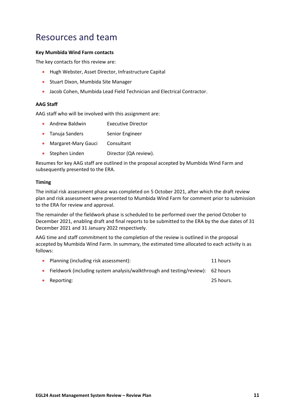## <span id="page-52-0"></span>Resources and team

#### **Key Mumbida Wind Farm contacts**

The key contacts for this review are:

- Hugh Webster, Asset Director, Infrastructure Capital
- Stuart Dixon, Mumbida Site Manager
- Jacob Cohen, Mumbida Lead Field Technician and Electrical Contractor.

#### **AAG Staff**

AAG staff who will be involved with this assignment are:

- Andrew Baldwin **Executive Director**
- Tanuja Sanders Senior Engineer
- Margaret-Mary Gauci Consultant
- Stephen Linden Director (QA review).

Resumes for key AAG staff are outlined in the proposal accepted by Mumbida Wind Farm and subsequently presented to the ERA.

#### **Timing**

The initial risk assessment phase was completed on 5 October 2021, after which the draft review plan and risk assessment were presented to Mumbida Wind Farm for comment prior to submission to the ERA for review and approval.

The remainder of the fieldwork phase is scheduled to be performed over the period October to December 2021, enabling draft and final reports to be submitted to the ERA by the due dates of 31 December 2021 and 31 January 2022 respectively.

AAG time and staff commitment to the completion of the review is outlined in the proposal accepted by Mumbida Wind Farm. In summary, the estimated time allocated to each activity is as follows:

| $\bullet$ | Planning (including risk assessment):                                          | 11 hours  |
|-----------|--------------------------------------------------------------------------------|-----------|
|           | Fieldwork (including system analysis/walkthrough and testing/review): 62 hours |           |
| $\bullet$ | Reporting:                                                                     | 25 hours. |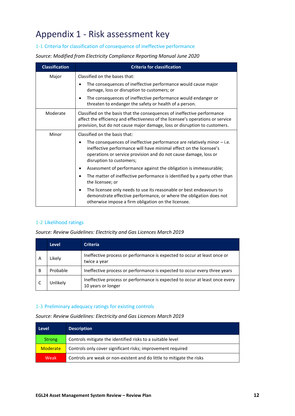## <span id="page-53-0"></span>Appendix 1 - Risk assessment key

## 1-1 Criteria for classification of consequence of ineffective performance

*Source: Modified from Electricity Compliance Reporting Manual June 2020*

| <b>Classification</b> | <b>Criteria for classification</b>                                                                                                                                                                                                                                                                                                                                                                                                                                                                                                                                                                                                                               |
|-----------------------|------------------------------------------------------------------------------------------------------------------------------------------------------------------------------------------------------------------------------------------------------------------------------------------------------------------------------------------------------------------------------------------------------------------------------------------------------------------------------------------------------------------------------------------------------------------------------------------------------------------------------------------------------------------|
| Major                 | Classified on the bases that:<br>The consequences of ineffective performance would cause major<br>damage, loss or disruption to customers; or<br>The consequences of ineffective performance would endanger or<br>threaten to endanger the safety or health of a person.                                                                                                                                                                                                                                                                                                                                                                                         |
| Moderate              | Classified on the basis that the consequences of ineffective performance<br>affect the efficiency and effectiveness of the licensee's operations or service<br>provision, but do not cause major damage, loss or disruption to customers.                                                                                                                                                                                                                                                                                                                                                                                                                        |
| Minor                 | Classified on the basis that:<br>The consequences of ineffective performance are relatively minor $-$ i.e.<br>ineffective performance will have minimal effect on the licensee's<br>operations or service provision and do not cause damage, loss or<br>disruption to customers;<br>Assessment of performance against the obligation is immeasurable;<br>The matter of ineffective performance is identified by a party other than<br>٠<br>the licensee; or<br>The licensee only needs to use its reasonable or best endeavours to<br>demonstrate effective performance, or where the obligation does not<br>otherwise impose a firm obligation on the licensee. |

## 1-2 Likelihood ratings

#### *Source: Review Guidelines: Electricity and Gas Licences March 2019*

|   | <b>Level</b> | <b>Criteria</b>                                                                                   |
|---|--------------|---------------------------------------------------------------------------------------------------|
| A | Likely       | Ineffective process or performance is expected to occur at least once or<br>twice a year          |
| B | Probable     | Ineffective process or performance is expected to occur every three years                         |
|   | Jnlikely     | Ineffective process or performance is expected to occur at least once every<br>10 years or longer |

#### 1-3 Preliminary adequacy ratings for existing controls

*Source: Review Guidelines: Electricity and Gas Licences March 2019*

| Level           | <b>Description</b>                                                    |
|-----------------|-----------------------------------------------------------------------|
| Strong          | Controls mitigate the identified risks to a suitable level            |
| <b>Moderate</b> | Controls only cover significant risks; improvement required           |
| Weak            | Controls are weak or non-existent and do little to mitigate the risks |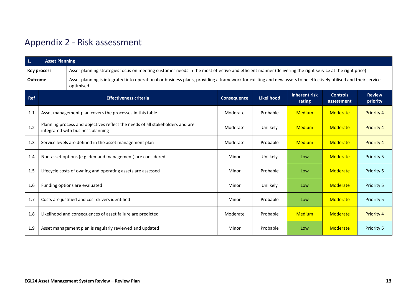# Appendix 2 - Risk assessment

<span id="page-54-0"></span>

| $\mathbf{1}$ . | <b>Asset Planning</b>                                                                                                                                                                          |                                                            |                    |                   |                                |                               |                           |
|----------------|------------------------------------------------------------------------------------------------------------------------------------------------------------------------------------------------|------------------------------------------------------------|--------------------|-------------------|--------------------------------|-------------------------------|---------------------------|
|                | Asset planning strategies focus on meeting customer needs in the most effective and efficient manner (delivering the right service at the right price)<br><b>Key process</b>                   |                                                            |                    |                   |                                |                               |                           |
|                | Asset planning is integrated into operational or business plans, providing a framework for existing and new assets to be effectively utilised and their service<br><b>Outcome</b><br>optimised |                                                            |                    |                   |                                |                               |                           |
| Ref            |                                                                                                                                                                                                | <b>Effectiveness criteria</b>                              | <b>Consequence</b> | <b>Likelihood</b> | <b>Inherent risk</b><br>rating | <b>Controls</b><br>assessment | <b>Review</b><br>priority |
| 1.1            |                                                                                                                                                                                                | Asset management plan covers the processes in this table   | Moderate           | Probable          | <b>Medium</b>                  | Moderate                      | <b>Priority 4</b>         |
| 1.2            | Planning process and objectives reflect the needs of all stakeholders and are<br>integrated with business planning                                                                             |                                                            |                    | Unlikely          | <b>Medium</b>                  | <b>Moderate</b>               | <b>Priority 4</b>         |
| 1.3            | Service levels are defined in the asset management plan                                                                                                                                        |                                                            | Moderate           | Probable          | <b>Medium</b>                  | <b>Moderate</b>               | <b>Priority 4</b>         |
| 1.4            | Non-asset options (e.g. demand management) are considered                                                                                                                                      |                                                            | Minor              | Unlikely          | Low                            | <b>Moderate</b>               | <b>Priority 5</b>         |
| 1.5            | Lifecycle costs of owning and operating assets are assessed                                                                                                                                    |                                                            | Minor              | Probable          | Low                            | <b>Moderate</b>               | Priority 5                |
| 1.6            | Funding options are evaluated                                                                                                                                                                  |                                                            | Minor              | Unlikely          | Low                            | Moderate                      | Priority 5                |
| 1.7            | Costs are justified and cost drivers identified                                                                                                                                                |                                                            | Minor              | Probable          | Low                            | <b>Moderate</b>               | <b>Priority 5</b>         |
| 1.8            |                                                                                                                                                                                                | Likelihood and consequences of asset failure are predicted | Moderate           | Probable          | <b>Medium</b>                  | <b>Moderate</b>               | <b>Priority 4</b>         |
| 1.9            | Asset management plan is regularly reviewed and updated                                                                                                                                        |                                                            | Minor              | Probable          | Low                            | Moderate                      | Priority 5                |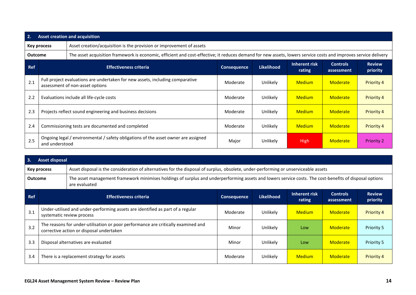| 2.             | <b>Asset creation and acquisition</b>                                               |                                                                                                                                                                 |                    |                   |                         |                               |                           |
|----------------|-------------------------------------------------------------------------------------|-----------------------------------------------------------------------------------------------------------------------------------------------------------------|--------------------|-------------------|-------------------------|-------------------------------|---------------------------|
|                | Asset creation/acquisition is the provision or improvement of assets<br>Key process |                                                                                                                                                                 |                    |                   |                         |                               |                           |
| <b>Outcome</b> |                                                                                     | The asset acquisition framework is economic, efficient and cost-effective; it reduces demand for new assets, lowers service costs and improves service delivery |                    |                   |                         |                               |                           |
| <b>Ref</b>     |                                                                                     | <b>Effectiveness criteria</b>                                                                                                                                   | <b>Consequence</b> | <b>Likelihood</b> | Inherent risk<br>rating | <b>Controls</b><br>assessment | <b>Review</b><br>priority |
| 2.1            |                                                                                     | Full project evaluations are undertaken for new assets, including comparative<br>assessment of non-asset options                                                | Moderate           | Unlikely          | <b>Medium</b>           | Moderate                      | <b>Priority 4</b>         |
| 2.2            |                                                                                     | Evaluations include all life-cycle costs                                                                                                                        | Moderate           | Unlikely          | <b>Medium</b>           | Moderate                      | Priority 4                |
| 2.3            |                                                                                     | Projects reflect sound engineering and business decisions                                                                                                       | Moderate           | Unlikely          | <b>Medium</b>           | <b>Moderate</b>               | Priority 4                |
| 2.4            |                                                                                     | Commissioning tests are documented and completed                                                                                                                | Moderate           | Unlikely          | <b>Medium</b>           | Moderate                      | Priority 4                |
| 2.5            | and understood                                                                      | Ongoing legal / environmental / safety obligations of the asset owner are assigned                                                                              | Major              | Unlikely          | <b>High</b>             | Moderate                      | <b>Priority 2</b>         |

| 3.                                                                                                                                                        | <b>Asset disposal</b> |                                                                                                                                                                          |                    |                   |                         |                               |                           |  |
|-----------------------------------------------------------------------------------------------------------------------------------------------------------|-----------------------|--------------------------------------------------------------------------------------------------------------------------------------------------------------------------|--------------------|-------------------|-------------------------|-------------------------------|---------------------------|--|
| Asset disposal is the consideration of alternatives for the disposal of surplus, obsolete, under-performing or unserviceable assets<br><b>Key process</b> |                       |                                                                                                                                                                          |                    |                   |                         |                               |                           |  |
| <b>Outcome</b>                                                                                                                                            |                       | The asset management framework minimises holdings of surplus and underperforming assets and lowers service costs. The cost-benefits of disposal options<br>are evaluated |                    |                   |                         |                               |                           |  |
| Ref                                                                                                                                                       |                       | <b>Effectiveness criteria</b>                                                                                                                                            | <b>Consequence</b> | <b>Likelihood</b> | Inherent risk<br>rating | <b>Controls</b><br>assessment | <b>Review</b><br>priority |  |
| 3.1                                                                                                                                                       |                       | Under-utilised and under-performing assets are identified as part of a regular<br>systematic review process                                                              | Moderate           | Unlikely          | <b>Medium</b>           | Moderate                      | <b>Priority 4</b>         |  |
| 3.2                                                                                                                                                       |                       | The reasons for under-utilisation or poor performance are critically examined and<br>corrective action or disposal undertaken                                            | Minor              | Unlikely          | Low                     | <b>Moderate</b>               | <b>Priority 5</b>         |  |
| 3.3                                                                                                                                                       |                       | Disposal alternatives are evaluated                                                                                                                                      | Minor              | Unlikely          | Low                     | Moderate                      | <b>Priority 5</b>         |  |
| 3.4                                                                                                                                                       |                       | There is a replacement strategy for assets                                                                                                                               | Moderate           | Unlikely          | <b>Medium</b>           | <b>Moderate</b>               | <b>Priority 4</b>         |  |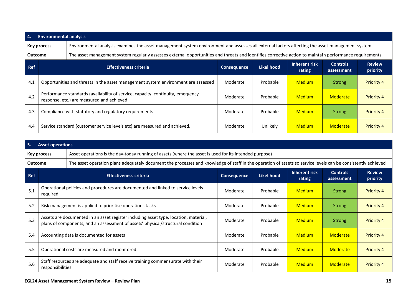| -4.            | <b>Environmental analysis</b>                                                                                                                                  |                                                                                                                                                         |             |            |                         |                               |                           |  |  |  |
|----------------|----------------------------------------------------------------------------------------------------------------------------------------------------------------|---------------------------------------------------------------------------------------------------------------------------------------------------------|-------------|------------|-------------------------|-------------------------------|---------------------------|--|--|--|
|                | Environmental analysis examines the asset management system environment and assesses all external factors affecting the asset management system<br>Key process |                                                                                                                                                         |             |            |                         |                               |                           |  |  |  |
| <b>Outcome</b> |                                                                                                                                                                | The asset management system regularly assesses external opportunities and threats and identifies corrective action to maintain performance requirements |             |            |                         |                               |                           |  |  |  |
| <b>Ref</b>     |                                                                                                                                                                | <b>Effectiveness criteria</b>                                                                                                                           | Consequence | Likelihood | Inherent risk<br>rating | <b>Controls</b><br>assessment | <b>Review</b><br>priority |  |  |  |
| 4.1            |                                                                                                                                                                | Opportunities and threats in the asset management system environment are assessed                                                                       | Moderate    | Probable   | <b>Medium</b>           | <b>Strong</b>                 | <b>Priority 4</b>         |  |  |  |
| 4.2            |                                                                                                                                                                | Performance standards (availability of service, capacity, continuity, emergency<br>response, etc.) are measured and achieved                            | Moderate    | Probable   | <b>Medium</b>           | Moderate                      | <b>Priority 4</b>         |  |  |  |
| 4.3            |                                                                                                                                                                | Compliance with statutory and regulatory requirements                                                                                                   | Moderate    | Probable   | <b>Medium</b>           | <b>Strong</b>                 | <b>Priority 4</b>         |  |  |  |
| 4.4            |                                                                                                                                                                | Service standard (customer service levels etc) are measured and achieved.                                                                               | Moderate    | Unlikely   | <b>Medium</b>           | Moderate                      | <b>Priority 4</b>         |  |  |  |

| 5.             | <b>Asset operations</b> |                                                                                                                                                                         |                    |                   |                                |                               |                           |  |  |
|----------------|-------------------------|-------------------------------------------------------------------------------------------------------------------------------------------------------------------------|--------------------|-------------------|--------------------------------|-------------------------------|---------------------------|--|--|
|                | Key process             | Asset operations is the day-today running of assets (where the asset is used for its intended purpose)                                                                  |                    |                   |                                |                               |                           |  |  |
| <b>Outcome</b> |                         | The asset operation plans adequately document the processes and knowledge of staff in the operation of assets so service levels can be consistently achieved            |                    |                   |                                |                               |                           |  |  |
| <b>Ref</b>     |                         | <b>Effectiveness criteria</b>                                                                                                                                           | <b>Consequence</b> | <b>Likelihood</b> | <b>Inherent risk</b><br>rating | <b>Controls</b><br>assessment | <b>Review</b><br>priority |  |  |
| 5.1            | required                | Operational policies and procedures are documented and linked to service levels                                                                                         | Moderate           | Probable          | <b>Medium</b>                  | <b>Strong</b>                 | <b>Priority 4</b>         |  |  |
| 5.2            |                         | Risk management is applied to prioritise operations tasks                                                                                                               | Moderate           | Probable          | <b>Medium</b>                  | <b>Strong</b>                 | <b>Priority 4</b>         |  |  |
| 5.3            |                         | Assets are documented in an asset register including asset type, location, material,<br>plans of components, and an assessment of assets' physical/structural condition | Moderate           | Probable          | <b>Medium</b>                  | <b>Strong</b>                 | <b>Priority 4</b>         |  |  |
| 5.4            |                         | Accounting data is documented for assets                                                                                                                                | Moderate           | Probable          | <b>Medium</b>                  | Moderate                      | <b>Priority 4</b>         |  |  |
| 5.5            |                         | Operational costs are measured and monitored                                                                                                                            | Moderate           | Probable          | <b>Medium</b>                  | Moderate                      | <b>Priority 4</b>         |  |  |
| 5.6            | responsibilities        | Staff resources are adequate and staff receive training commensurate with their                                                                                         | Moderate           | Probable          | <b>Medium</b>                  | Moderate                      | <b>Priority 4</b>         |  |  |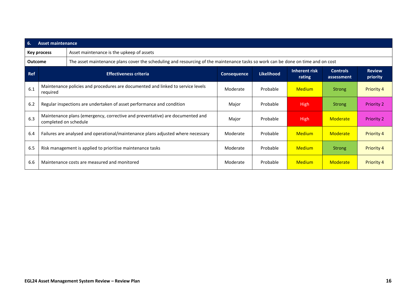| 6.             | <b>Asset maintenance</b>                                                                               |                                                                                                                                  |             |                   |                         |                               |                           |  |  |
|----------------|--------------------------------------------------------------------------------------------------------|----------------------------------------------------------------------------------------------------------------------------------|-------------|-------------------|-------------------------|-------------------------------|---------------------------|--|--|
|                | Key process                                                                                            | Asset maintenance is the upkeep of assets                                                                                        |             |                   |                         |                               |                           |  |  |
| <b>Outcome</b> |                                                                                                        | The asset maintenance plans cover the scheduling and resourcing of the maintenance tasks so work can be done on time and on cost |             |                   |                         |                               |                           |  |  |
| <b>Ref</b>     | <b>Effectiveness criteria</b>                                                                          |                                                                                                                                  | Consequence | <b>Likelihood</b> | Inherent risk<br>rating | <b>Controls</b><br>assessment | <b>Review</b><br>priority |  |  |
| 6.1            | required                                                                                               | Maintenance policies and procedures are documented and linked to service levels                                                  | Moderate    | Probable          | <b>Medium</b>           | <b>Strong</b>                 | <b>Priority 4</b>         |  |  |
| 6.2            | Regular inspections are undertaken of asset performance and condition                                  |                                                                                                                                  | Major       | Probable          | <b>High</b>             | Strong                        | <b>Priority 2</b>         |  |  |
| 6.3            | Maintenance plans (emergency, corrective and preventative) are documented and<br>completed on schedule |                                                                                                                                  | Major       | Probable          | <b>High</b>             | Moderate                      | <b>Priority 2</b>         |  |  |
| 6.4            |                                                                                                        | Failures are analysed and operational/maintenance plans adjusted where necessary                                                 | Moderate    | Probable          | <b>Medium</b>           | Moderate                      | Priority 4                |  |  |
| 6.5            |                                                                                                        | Risk management is applied to prioritise maintenance tasks                                                                       | Moderate    | Probable          | <b>Medium</b>           | <b>Strong</b>                 | Priority 4                |  |  |
| 6.6            |                                                                                                        | Maintenance costs are measured and monitored                                                                                     | Moderate    | Probable          | <b>Medium</b>           | <b>Moderate</b>               | <b>Priority 4</b>         |  |  |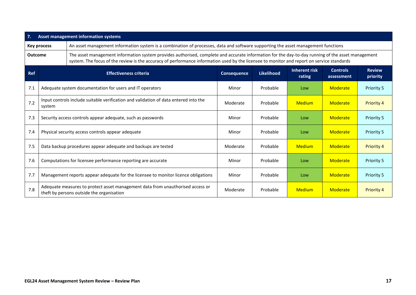| 7.             | Asset management information systems                                                           |                                                                                                                                                                                                                                                                                                 |                    |                   |                                |                               |                           |  |  |
|----------------|------------------------------------------------------------------------------------------------|-------------------------------------------------------------------------------------------------------------------------------------------------------------------------------------------------------------------------------------------------------------------------------------------------|--------------------|-------------------|--------------------------------|-------------------------------|---------------------------|--|--|
|                | <b>Key process</b>                                                                             | An asset management information system is a combination of processes, data and software supporting the asset management functions                                                                                                                                                               |                    |                   |                                |                               |                           |  |  |
| <b>Outcome</b> |                                                                                                | The asset management information system provides authorised, complete and accurate information for the day-to-day running of the asset management<br>system. The focus of the review is the accuracy of performance information used by the licensee to monitor and report on service standards |                    |                   |                                |                               |                           |  |  |
| <b>Ref</b>     |                                                                                                | <b>Effectiveness criteria</b>                                                                                                                                                                                                                                                                   | <b>Consequence</b> | <b>Likelihood</b> | <b>Inherent risk</b><br>rating | <b>Controls</b><br>assessment | <b>Review</b><br>priority |  |  |
| 7.1            |                                                                                                | Adequate system documentation for users and IT operators                                                                                                                                                                                                                                        | Minor              | Probable          | Low                            | Moderate                      | Priority 5                |  |  |
| 7.2            | Input controls include suitable verification and validation of data entered into the<br>system |                                                                                                                                                                                                                                                                                                 | Moderate           | Probable          | <b>Medium</b>                  | Moderate                      | Priority 4                |  |  |
| 7.3            | Security access controls appear adequate, such as passwords                                    |                                                                                                                                                                                                                                                                                                 | Minor              | Probable          | Low                            | Moderate                      | Priority 5                |  |  |
| 7.4            |                                                                                                | Physical security access controls appear adequate                                                                                                                                                                                                                                               | Minor              | Probable          | Low                            | Moderate                      | Priority 5                |  |  |
| 7.5            |                                                                                                | Data backup procedures appear adequate and backups are tested                                                                                                                                                                                                                                   | Moderate           | Probable          | <b>Medium</b>                  | Moderate                      | <b>Priority 4</b>         |  |  |
| 7.6            |                                                                                                | Computations for licensee performance reporting are accurate                                                                                                                                                                                                                                    | Minor              | Probable          | Low                            | Moderate                      | Priority 5                |  |  |
| 7.7            |                                                                                                | Management reports appear adequate for the licensee to monitor licence obligations                                                                                                                                                                                                              | Minor              | Probable          | Low                            | Moderate                      | <b>Priority 5</b>         |  |  |
| 7.8            |                                                                                                | Adequate measures to protect asset management data from unauthorised access or<br>theft by persons outside the organisation                                                                                                                                                                     | Moderate           | Probable          | <b>Medium</b>                  | Moderate                      | <b>Priority 4</b>         |  |  |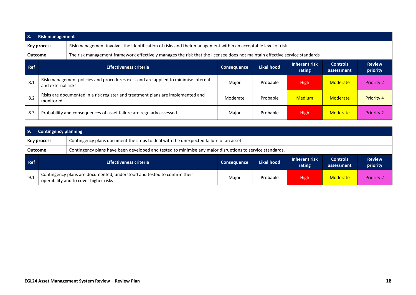| -8.            | <b>Risk management</b> |                                                                                                                            |                                                                                                              |                   |                         |                               |                           |  |  |  |
|----------------|------------------------|----------------------------------------------------------------------------------------------------------------------------|--------------------------------------------------------------------------------------------------------------|-------------------|-------------------------|-------------------------------|---------------------------|--|--|--|
|                | <b>Key process</b>     |                                                                                                                            | Risk management involves the identification of risks and their management within an acceptable level of risk |                   |                         |                               |                           |  |  |  |
| <b>Outcome</b> |                        | The risk management framework effectively manages the risk that the licensee does not maintain effective service standards |                                                                                                              |                   |                         |                               |                           |  |  |  |
| <b>Ref</b>     |                        | <b>Effectiveness criteria</b>                                                                                              | <b>Consequence</b>                                                                                           | <b>Likelihood</b> | Inherent risk<br>rating | <b>Controls</b><br>assessment | <b>Review</b><br>priority |  |  |  |
| 8.1            | and external risks     | Risk management policies and procedures exist and are applied to minimise internal                                         | Major                                                                                                        | Probable          | <b>High</b>             | Moderate                      | <b>Priority 2</b>         |  |  |  |
| 8.2            | monitored              | Risks are documented in a risk register and treatment plans are implemented and                                            | Moderate                                                                                                     | Probable          | <b>Medium</b>           | Moderate                      | <b>Priority 4</b>         |  |  |  |
| 8.3            |                        | Probability and consequences of asset failure are regularly assessed                                                       | Major                                                                                                        | Probable          | <b>High</b>             | Moderate                      | <b>Priority 2</b>         |  |  |  |

| 9.             | <b>Contingency planning</b>                                                                          |                                                                                                                   |                    |            |                         |                               |                           |  |  |
|----------------|------------------------------------------------------------------------------------------------------|-------------------------------------------------------------------------------------------------------------------|--------------------|------------|-------------------------|-------------------------------|---------------------------|--|--|
|                | Contingency plans document the steps to deal with the unexpected failure of an asset.<br>Key process |                                                                                                                   |                    |            |                         |                               |                           |  |  |
| <b>Outcome</b> |                                                                                                      | Contingency plans have been developed and tested to minimise any major disruptions to service standards.          |                    |            |                         |                               |                           |  |  |
| Ref            |                                                                                                      | <b>Effectiveness criteria</b>                                                                                     | <b>Consequence</b> | Likelihood | Inherent risk<br>rating | <b>Controls</b><br>assessment | <b>Review</b><br>priority |  |  |
| 9.1            |                                                                                                      | Contingency plans are documented, understood and tested to confirm their<br>operability and to cover higher risks | Major              | Probable   | High                    | <b>Moderate</b>               | <b>Priority 2</b>         |  |  |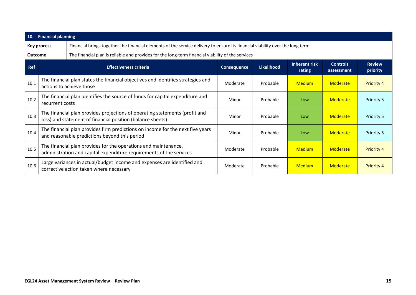| 10.            | <b>Financial planning</b>                                                                                                                 |                                                                                                                                        |                                                                                                   |                   |                                |                               |                           |  |  |  |
|----------------|-------------------------------------------------------------------------------------------------------------------------------------------|----------------------------------------------------------------------------------------------------------------------------------------|---------------------------------------------------------------------------------------------------|-------------------|--------------------------------|-------------------------------|---------------------------|--|--|--|
|                | Key process                                                                                                                               | Financial brings together the financial elements of the service delivery to ensure its financial viability over the long term          |                                                                                                   |                   |                                |                               |                           |  |  |  |
| <b>Outcome</b> |                                                                                                                                           |                                                                                                                                        | The financial plan is reliable and provides for the long-term financial viability of the services |                   |                                |                               |                           |  |  |  |
| <b>Ref</b>     |                                                                                                                                           | <b>Effectiveness criteria</b>                                                                                                          | <b>Consequence</b>                                                                                | <b>Likelihood</b> | <b>Inherent risk</b><br>rating | <b>Controls</b><br>assessment | <b>Review</b><br>priority |  |  |  |
| 10.1           |                                                                                                                                           | The financial plan states the financial objectives and identifies strategies and<br>actions to achieve those                           | Moderate                                                                                          | Probable          | <b>Medium</b>                  | Moderate                      | <b>Priority 4</b>         |  |  |  |
| 10.2           | recurrent costs                                                                                                                           | The financial plan identifies the source of funds for capital expenditure and                                                          | Minor                                                                                             | Probable          | Low                            | Moderate                      | Priority 5                |  |  |  |
| 10.3           | The financial plan provides projections of operating statements (profit and<br>loss) and statement of financial position (balance sheets) |                                                                                                                                        | Minor                                                                                             | Probable          | Low                            | Moderate                      | Priority 5                |  |  |  |
| 10.4           |                                                                                                                                           | The financial plan provides firm predictions on income for the next five years<br>and reasonable predictions beyond this period        | Minor                                                                                             | Probable          | Low                            | Moderate                      | Priority 5                |  |  |  |
| 10.5           |                                                                                                                                           | The financial plan provides for the operations and maintenance,<br>administration and capital expenditure requirements of the services | Moderate                                                                                          | Probable          | <b>Medium</b>                  | Moderate                      | <b>Priority 4</b>         |  |  |  |
| 10.6           |                                                                                                                                           | Large variances in actual/budget income and expenses are identified and<br>corrective action taken where necessary                     | Moderate                                                                                          | Probable          | <b>Medium</b>                  | Moderate                      | <b>Priority 4</b>         |  |  |  |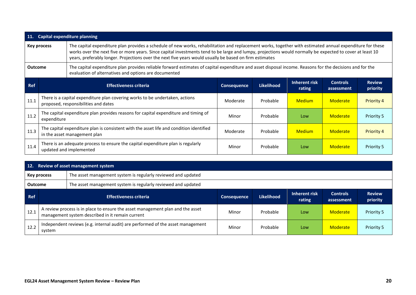| <b>11.</b>                                                                                                                                                                                                                          | <b>Capital expenditure planning</b> |                                                                                                                         |                                                                                                                                                                                                                                                                                                                                                                                                                                   |                   |                         |                               |                           |  |  |  |
|-------------------------------------------------------------------------------------------------------------------------------------------------------------------------------------------------------------------------------------|-------------------------------------|-------------------------------------------------------------------------------------------------------------------------|-----------------------------------------------------------------------------------------------------------------------------------------------------------------------------------------------------------------------------------------------------------------------------------------------------------------------------------------------------------------------------------------------------------------------------------|-------------------|-------------------------|-------------------------------|---------------------------|--|--|--|
|                                                                                                                                                                                                                                     | Key process                         |                                                                                                                         | The capital expenditure plan provides a schedule of new works, rehabilitation and replacement works, together with estimated annual expenditure for these<br>works over the next five or more years. Since capital investments tend to be large and lumpy, projections would normally be expected to cover at least 10<br>years, preferably longer. Projections over the next five years would usually be based on firm estimates |                   |                         |                               |                           |  |  |  |
| The capital expenditure plan provides reliable forward estimates of capital expenditure and asset disposal income. Reasons for the decisions and for the<br><b>Outcome</b><br>evaluation of alternatives and options are documented |                                     |                                                                                                                         |                                                                                                                                                                                                                                                                                                                                                                                                                                   |                   |                         |                               |                           |  |  |  |
| <b>Ref</b>                                                                                                                                                                                                                          |                                     | <b>Effectiveness criteria</b>                                                                                           | <b>Consequence</b>                                                                                                                                                                                                                                                                                                                                                                                                                | <b>Likelihood</b> | Inherent risk<br>rating | <b>Controls</b><br>assessment | <b>Review</b><br>priority |  |  |  |
| 11.1                                                                                                                                                                                                                                |                                     | There is a capital expenditure plan covering works to be undertaken, actions<br>proposed, responsibilities and dates    | Moderate                                                                                                                                                                                                                                                                                                                                                                                                                          | Probable          | <b>Medium</b>           | Moderate                      | <b>Priority 4</b>         |  |  |  |
| 11.2                                                                                                                                                                                                                                | expenditure                         | The capital expenditure plan provides reasons for capital expenditure and timing of                                     | Minor                                                                                                                                                                                                                                                                                                                                                                                                                             | Probable          | Low                     | Moderate                      | <b>Priority 5</b>         |  |  |  |
| 11.3                                                                                                                                                                                                                                |                                     | The capital expenditure plan is consistent with the asset life and condition identified<br>in the asset management plan | Moderate                                                                                                                                                                                                                                                                                                                                                                                                                          | Probable          | <b>Medium</b>           | Moderate                      | <b>Priority 4</b>         |  |  |  |
| 11.4                                                                                                                                                                                                                                |                                     | There is an adequate process to ensure the capital expenditure plan is regularly<br>updated and implemented             | Minor                                                                                                                                                                                                                                                                                                                                                                                                                             | Probable          | Low                     | Moderate                      | Priority 5                |  |  |  |

| 12.            | Review of asset management system                                            |                                                                                                                                    |                    |                   |                         |                               |                           |  |  |
|----------------|------------------------------------------------------------------------------|------------------------------------------------------------------------------------------------------------------------------------|--------------------|-------------------|-------------------------|-------------------------------|---------------------------|--|--|
|                | The asset management system is regularly reviewed and updated<br>Key process |                                                                                                                                    |                    |                   |                         |                               |                           |  |  |
| <b>Outcome</b> |                                                                              | The asset management system is regularly reviewed and updated                                                                      |                    |                   |                         |                               |                           |  |  |
| <b>Ref</b>     |                                                                              | <b>Effectiveness criteria</b>                                                                                                      | <b>Consequence</b> | <b>Likelihood</b> | Inherent risk<br>rating | <b>Controls</b><br>assessment | <b>Review</b><br>priority |  |  |
| 12.1           |                                                                              | A review process is in place to ensure the asset management plan and the asset<br>management system described in it remain current | Minor              | Probable          | Low                     | Moderate                      | Priority 5                |  |  |
| 12.2           | system                                                                       | Independent reviews (e.g. internal audit) are performed of the asset management                                                    | Minor              | Probable          | Low                     | <b>Moderate</b>               | Priority 5                |  |  |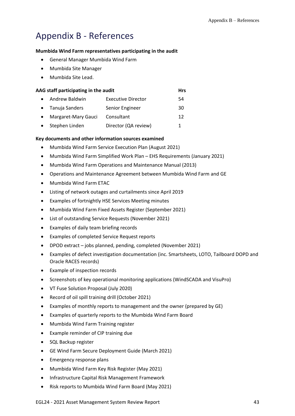# <span id="page-62-0"></span>Appendix B - References

#### **Mumbida Wind Farm representatives participating in the audit**

- General Manager Mumbida Wind Farm
- Mumbida Site Manager
- Mumbida Site Lead.

|           | AAG staff participating in the audit |                           |    |    |  |  |  |  |
|-----------|--------------------------------------|---------------------------|----|----|--|--|--|--|
|           | Andrew Baldwin                       | <b>Executive Director</b> |    | 54 |  |  |  |  |
|           | • Tanuja Sanders                     | Senior Engineer           |    | 30 |  |  |  |  |
| $\bullet$ | Margaret-Mary Gauci                  | Consultant                |    | 12 |  |  |  |  |
| $\bullet$ | Stephen Linden                       | Director (QA review)      | 1. |    |  |  |  |  |

#### **Key documents and other information sources examined**

- Mumbida Wind Farm Service Execution Plan (August 2021)
- Mumbida Wind Farm Simplified Work Plan EHS Requirements (January 2021)
- Mumbida Wind Farm Operations and Maintenance Manual (2013)
- Operations and Maintenance Agreement between Mumbida Wind Farm and GE
- Mumbida Wind Farm ETAC
- Listing of network outages and curtailments since April 2019
- Examples of fortnightly HSE Services Meeting minutes
- Mumbida Wind Farm Fixed Assets Register (September 2021)
- List of outstanding Service Requests (November 2021)
- Examples of daily team briefing records
- Examples of completed Service Request reports
- DPOD extract jobs planned, pending, completed (November 2021)
- Examples of defect investigation documentation (inc. Smartsheets, LOTO, Tailboard DOPD and Oracle RACES records)
- Example of inspection records
- Screenshots of key operational monitoring applications (WindSCADA and VisuPro)
- VT Fuse Solution Proposal (July 2020)
- Record of oil spill training drill (October 2021)
- Examples of monthly reports to management and the owner (prepared by GE)
- Examples of quarterly reports to the Mumbida Wind Farm Board
- Mumbida Wind Farm Training register
- Example reminder of CIP training due
- SQL Backup register
- GE Wind Farm Secure Deployment Guide (March 2021)
- Emergency response plans
- Mumbida Wind Farm Key Risk Register (May 2021)
- Infrastructure Capital Risk Management Framework
- Risk reports to Mumbida Wind Farm Board (May 2021)